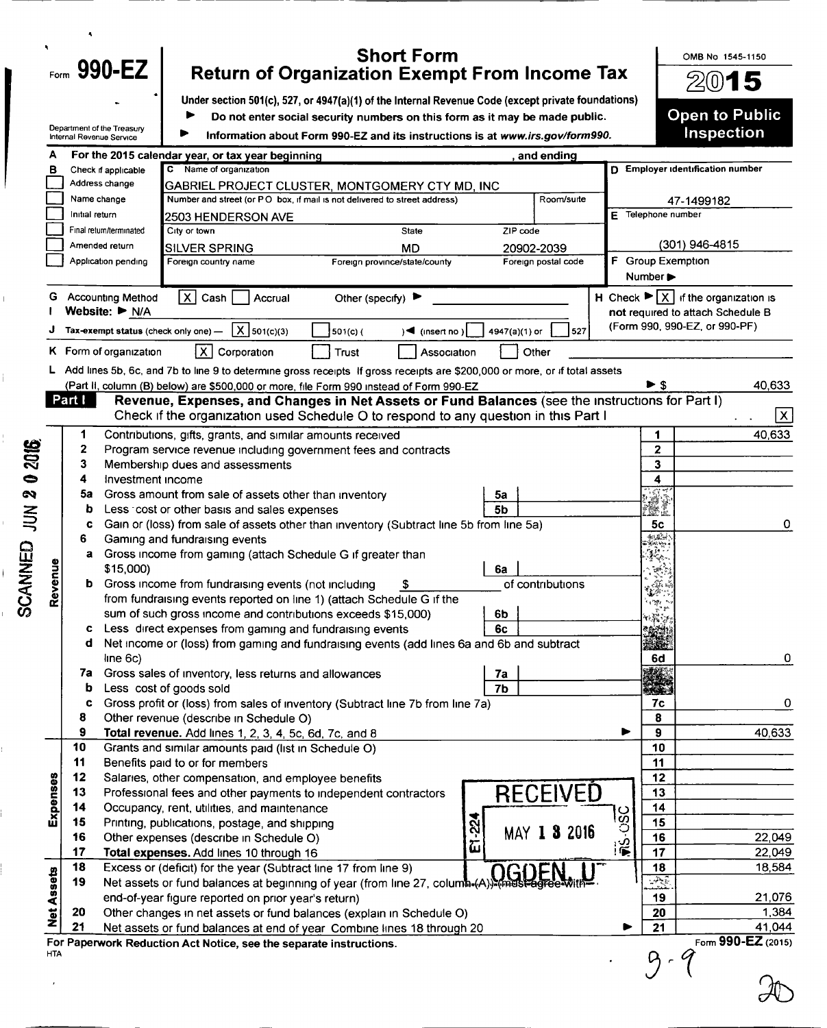| Under section 501(c), 527, or 4947(a)(1) of the Internal Revenue Code (except private foundations)<br>Do not enter social security numbers on this form as it may be made public.<br>Department of the Treasury<br>Information about Form 990-EZ and its instructions is at www.irs.gov/form990.<br>Internal Revenue Service<br>For the 2015 calendar year, or tax year beginning<br>and ending<br>Name of organization<br>D Employer identification number<br>c<br>Check if applicable<br>в<br>Address change<br>GABRIEL PROJECT CLUSTER, MONTGOMERY CTY MD, INC<br>Number and street (or PO box, if mail is not delivered to street address)<br>Room/suite<br>Name change<br>47-1499182<br>E Telephone number<br>Initial return<br>2503 HENDERSON AVE<br>ZIP code<br>Final return/terminated<br>City or town<br><b>State</b><br>(301) 946-4815<br>Amended return<br><b>SILVER SPRING</b><br><b>MD</b><br>20902-2039<br>F Group Exemption<br>Foreign postal code<br>Application pending<br>Foreign country name<br>Foreign province/state/county<br>Number ▶<br>$\vert x \vert$<br><b>Accounting Method</b><br>H Check $\blacktriangleright$ $\mid$ X $\mid$ if the organization is<br>Cash<br>Accrual<br>Other (specify) $\blacktriangleright$<br>G<br>Website: $\blacktriangleright$ N/A<br>not required to attach Schedule B<br>(Form 990, 990-EZ, or 990-PF)<br>$X$ 501(c)(3)<br>Tax-exempt status (check only one) -<br>4947(a)(1) or<br>527<br>$501(c)$ (<br>$\sqrt{4}$ (insert no)<br>K Form of organization<br> X <br>Corporation<br>Trust<br>Association<br>Other<br>Add lines 5b, 6c, and 7b to line 9 to determine gross receipts If gross receipts are \$200,000 or more, or if total assets<br>► \$<br>(Part II, column (B) below) are \$500,000 or more, file Form 990 instead of Form 990-EZ<br>Part I<br>Revenue, Expenses, and Changes in Net Assets or Fund Balances (see the instructions for Part I)<br>Check if the organization used Schedule O to respond to any question in this Part I<br>Contributions, gifts, grants, and similar amounts received<br>1<br>1<br>2016<br>2<br>2<br>Program service revenue including government fees and contracts<br>3<br>Membership dues and assessments<br>3<br>$\bullet$<br>Investment income<br>4<br>4<br>U)<br>Gross amount from sale of assets other than inventory<br>$\boldsymbol{\omega}$<br>5a<br>5a<br>5b<br>Less cost or other basis and sales expenses<br>$\Xi$<br>b<br>Gain or (loss) from sale of assets other than inventory (Subtract line 5b from line 5a)<br>5c<br>c<br>أشابه<br>6<br>Gaming and fundraising events<br>コリスラスト<br>Gross income from gaming (attach Schedule G if greater than<br>а<br>Revenue<br>\$15,000)<br>6a<br>Gross income from fundraising events (not including<br>of contributions<br>b<br>from fundraising events reported on line 1) (attach Schedule G if the<br>المنابع المحالي<br>n<br>sum of such gross income and contributions exceeds \$15,000)<br>6b<br>Less direct expenses from gaming and fundraising events<br>6c<br>c<br>Net income or (loss) from gaming and fundraising events (add lines 6a and 6b and subtract<br>d<br>line 6c)<br>6d<br>Gross sales of inventory, less returns and allowances<br>7a<br>7a<br>7 <sub>b</sub><br>Less cost of goods sold<br>b<br>Gross profit or (loss) from sales of inventory (Subtract line 7b from line 7a)<br>7c<br>c<br>8<br>8<br>Other revenue (describe in Schedule O)<br>$\mathbf{9}$<br>9<br>Total revenue. Add lines 1, 2, 3, 4, 5c, 6d, 7c, and 8<br>▶<br>10<br>10<br>Grants and similar amounts paid (list in Schedule O)<br>11<br>Benefits paid to or for members<br>11<br>12<br>Expenses<br>12<br>Salaries, other compensation, and employee benefits<br><b>RECEIVED</b><br>13<br>13<br>Professional fees and other payments to independent contractors<br>14<br>14<br>Occupancy, rent, utilities, and maintenance<br>$\frac{1}{250}$ .<br>E1-224<br>15<br>15<br>Printing, publications, postage, and shipping<br>MAY 1 3 2016<br>16<br>16<br>Other expenses (describe in Schedule O)<br>17<br>17<br>Total expenses. Add lines 10 through 16<br>18<br>18<br>Excess or (deficit) for the year (Subtract line 17 from line 9)<br><b>Net Assets</b><br>2<br>19<br>Net assets or fund balances at beginning of year (from line 27, column-(A)). (must agree with<br>19<br>end-of-year figure reported on prior year's return)<br>20<br>20<br>Other changes in net assets or fund balances (explain in Schedule O)<br>21<br>21<br>Net assets or fund balances at end of year Combine lines 18 through 20 | OMB No 1545-1150<br>$20$ 15  |
|-----------------------------------------------------------------------------------------------------------------------------------------------------------------------------------------------------------------------------------------------------------------------------------------------------------------------------------------------------------------------------------------------------------------------------------------------------------------------------------------------------------------------------------------------------------------------------------------------------------------------------------------------------------------------------------------------------------------------------------------------------------------------------------------------------------------------------------------------------------------------------------------------------------------------------------------------------------------------------------------------------------------------------------------------------------------------------------------------------------------------------------------------------------------------------------------------------------------------------------------------------------------------------------------------------------------------------------------------------------------------------------------------------------------------------------------------------------------------------------------------------------------------------------------------------------------------------------------------------------------------------------------------------------------------------------------------------------------------------------------------------------------------------------------------------------------------------------------------------------------------------------------------------------------------------------------------------------------------------------------------------------------------------------------------------------------------------------------------------------------------------------------------------------------------------------------------------------------------------------------------------------------------------------------------------------------------------------------------------------------------------------------------------------------------------------------------------------------------------------------------------------------------------------------------------------------------------------------------------------------------------------------------------------------------------------------------------------------------------------------------------------------------------------------------------------------------------------------------------------------------------------------------------------------------------------------------------------------------------------------------------------------------------------------------------------------------------------------------------------------------------------------------------------------------------------------------------------------------------------------------------------------------------------------------------------------------------------------------------------------------------------------------------------------------------------------------------------------------------------------------------------------------------------------------------------------------------------------------------------------------------------------------------------------------------------------------------------------------------------------------------------------------------------------------------------------------------------------------------------------------------------------------------------------------------------------------------------------------------------------------------------------------------------------------------------------------------------------------------------------------------------------------------------------------------------------------------------------------------------------------------------------------------------------------------------------------------------------------------------------------------------------------------------------------------------------------------------------------------------------------------------------------------------------------------------------------------|------------------------------|
|                                                                                                                                                                                                                                                                                                                                                                                                                                                                                                                                                                                                                                                                                                                                                                                                                                                                                                                                                                                                                                                                                                                                                                                                                                                                                                                                                                                                                                                                                                                                                                                                                                                                                                                                                                                                                                                                                                                                                                                                                                                                                                                                                                                                                                                                                                                                                                                                                                                                                                                                                                                                                                                                                                                                                                                                                                                                                                                                                                                                                                                                                                                                                                                                                                                                                                                                                                                                                                                                                                                                                                                                                                                                                                                                                                                                                                                                                                                                                                                                                                                                                                                                                                                                                                                                                                                                                                                                                                                                                                                                                                             | <b>Open to Public</b>        |
|                                                                                                                                                                                                                                                                                                                                                                                                                                                                                                                                                                                                                                                                                                                                                                                                                                                                                                                                                                                                                                                                                                                                                                                                                                                                                                                                                                                                                                                                                                                                                                                                                                                                                                                                                                                                                                                                                                                                                                                                                                                                                                                                                                                                                                                                                                                                                                                                                                                                                                                                                                                                                                                                                                                                                                                                                                                                                                                                                                                                                                                                                                                                                                                                                                                                                                                                                                                                                                                                                                                                                                                                                                                                                                                                                                                                                                                                                                                                                                                                                                                                                                                                                                                                                                                                                                                                                                                                                                                                                                                                                                             | Inspection                   |
|                                                                                                                                                                                                                                                                                                                                                                                                                                                                                                                                                                                                                                                                                                                                                                                                                                                                                                                                                                                                                                                                                                                                                                                                                                                                                                                                                                                                                                                                                                                                                                                                                                                                                                                                                                                                                                                                                                                                                                                                                                                                                                                                                                                                                                                                                                                                                                                                                                                                                                                                                                                                                                                                                                                                                                                                                                                                                                                                                                                                                                                                                                                                                                                                                                                                                                                                                                                                                                                                                                                                                                                                                                                                                                                                                                                                                                                                                                                                                                                                                                                                                                                                                                                                                                                                                                                                                                                                                                                                                                                                                                             |                              |
|                                                                                                                                                                                                                                                                                                                                                                                                                                                                                                                                                                                                                                                                                                                                                                                                                                                                                                                                                                                                                                                                                                                                                                                                                                                                                                                                                                                                                                                                                                                                                                                                                                                                                                                                                                                                                                                                                                                                                                                                                                                                                                                                                                                                                                                                                                                                                                                                                                                                                                                                                                                                                                                                                                                                                                                                                                                                                                                                                                                                                                                                                                                                                                                                                                                                                                                                                                                                                                                                                                                                                                                                                                                                                                                                                                                                                                                                                                                                                                                                                                                                                                                                                                                                                                                                                                                                                                                                                                                                                                                                                                             |                              |
|                                                                                                                                                                                                                                                                                                                                                                                                                                                                                                                                                                                                                                                                                                                                                                                                                                                                                                                                                                                                                                                                                                                                                                                                                                                                                                                                                                                                                                                                                                                                                                                                                                                                                                                                                                                                                                                                                                                                                                                                                                                                                                                                                                                                                                                                                                                                                                                                                                                                                                                                                                                                                                                                                                                                                                                                                                                                                                                                                                                                                                                                                                                                                                                                                                                                                                                                                                                                                                                                                                                                                                                                                                                                                                                                                                                                                                                                                                                                                                                                                                                                                                                                                                                                                                                                                                                                                                                                                                                                                                                                                                             |                              |
|                                                                                                                                                                                                                                                                                                                                                                                                                                                                                                                                                                                                                                                                                                                                                                                                                                                                                                                                                                                                                                                                                                                                                                                                                                                                                                                                                                                                                                                                                                                                                                                                                                                                                                                                                                                                                                                                                                                                                                                                                                                                                                                                                                                                                                                                                                                                                                                                                                                                                                                                                                                                                                                                                                                                                                                                                                                                                                                                                                                                                                                                                                                                                                                                                                                                                                                                                                                                                                                                                                                                                                                                                                                                                                                                                                                                                                                                                                                                                                                                                                                                                                                                                                                                                                                                                                                                                                                                                                                                                                                                                                             |                              |
|                                                                                                                                                                                                                                                                                                                                                                                                                                                                                                                                                                                                                                                                                                                                                                                                                                                                                                                                                                                                                                                                                                                                                                                                                                                                                                                                                                                                                                                                                                                                                                                                                                                                                                                                                                                                                                                                                                                                                                                                                                                                                                                                                                                                                                                                                                                                                                                                                                                                                                                                                                                                                                                                                                                                                                                                                                                                                                                                                                                                                                                                                                                                                                                                                                                                                                                                                                                                                                                                                                                                                                                                                                                                                                                                                                                                                                                                                                                                                                                                                                                                                                                                                                                                                                                                                                                                                                                                                                                                                                                                                                             |                              |
|                                                                                                                                                                                                                                                                                                                                                                                                                                                                                                                                                                                                                                                                                                                                                                                                                                                                                                                                                                                                                                                                                                                                                                                                                                                                                                                                                                                                                                                                                                                                                                                                                                                                                                                                                                                                                                                                                                                                                                                                                                                                                                                                                                                                                                                                                                                                                                                                                                                                                                                                                                                                                                                                                                                                                                                                                                                                                                                                                                                                                                                                                                                                                                                                                                                                                                                                                                                                                                                                                                                                                                                                                                                                                                                                                                                                                                                                                                                                                                                                                                                                                                                                                                                                                                                                                                                                                                                                                                                                                                                                                                             |                              |
|                                                                                                                                                                                                                                                                                                                                                                                                                                                                                                                                                                                                                                                                                                                                                                                                                                                                                                                                                                                                                                                                                                                                                                                                                                                                                                                                                                                                                                                                                                                                                                                                                                                                                                                                                                                                                                                                                                                                                                                                                                                                                                                                                                                                                                                                                                                                                                                                                                                                                                                                                                                                                                                                                                                                                                                                                                                                                                                                                                                                                                                                                                                                                                                                                                                                                                                                                                                                                                                                                                                                                                                                                                                                                                                                                                                                                                                                                                                                                                                                                                                                                                                                                                                                                                                                                                                                                                                                                                                                                                                                                                             |                              |
|                                                                                                                                                                                                                                                                                                                                                                                                                                                                                                                                                                                                                                                                                                                                                                                                                                                                                                                                                                                                                                                                                                                                                                                                                                                                                                                                                                                                                                                                                                                                                                                                                                                                                                                                                                                                                                                                                                                                                                                                                                                                                                                                                                                                                                                                                                                                                                                                                                                                                                                                                                                                                                                                                                                                                                                                                                                                                                                                                                                                                                                                                                                                                                                                                                                                                                                                                                                                                                                                                                                                                                                                                                                                                                                                                                                                                                                                                                                                                                                                                                                                                                                                                                                                                                                                                                                                                                                                                                                                                                                                                                             |                              |
|                                                                                                                                                                                                                                                                                                                                                                                                                                                                                                                                                                                                                                                                                                                                                                                                                                                                                                                                                                                                                                                                                                                                                                                                                                                                                                                                                                                                                                                                                                                                                                                                                                                                                                                                                                                                                                                                                                                                                                                                                                                                                                                                                                                                                                                                                                                                                                                                                                                                                                                                                                                                                                                                                                                                                                                                                                                                                                                                                                                                                                                                                                                                                                                                                                                                                                                                                                                                                                                                                                                                                                                                                                                                                                                                                                                                                                                                                                                                                                                                                                                                                                                                                                                                                                                                                                                                                                                                                                                                                                                                                                             |                              |
|                                                                                                                                                                                                                                                                                                                                                                                                                                                                                                                                                                                                                                                                                                                                                                                                                                                                                                                                                                                                                                                                                                                                                                                                                                                                                                                                                                                                                                                                                                                                                                                                                                                                                                                                                                                                                                                                                                                                                                                                                                                                                                                                                                                                                                                                                                                                                                                                                                                                                                                                                                                                                                                                                                                                                                                                                                                                                                                                                                                                                                                                                                                                                                                                                                                                                                                                                                                                                                                                                                                                                                                                                                                                                                                                                                                                                                                                                                                                                                                                                                                                                                                                                                                                                                                                                                                                                                                                                                                                                                                                                                             |                              |
|                                                                                                                                                                                                                                                                                                                                                                                                                                                                                                                                                                                                                                                                                                                                                                                                                                                                                                                                                                                                                                                                                                                                                                                                                                                                                                                                                                                                                                                                                                                                                                                                                                                                                                                                                                                                                                                                                                                                                                                                                                                                                                                                                                                                                                                                                                                                                                                                                                                                                                                                                                                                                                                                                                                                                                                                                                                                                                                                                                                                                                                                                                                                                                                                                                                                                                                                                                                                                                                                                                                                                                                                                                                                                                                                                                                                                                                                                                                                                                                                                                                                                                                                                                                                                                                                                                                                                                                                                                                                                                                                                                             |                              |
|                                                                                                                                                                                                                                                                                                                                                                                                                                                                                                                                                                                                                                                                                                                                                                                                                                                                                                                                                                                                                                                                                                                                                                                                                                                                                                                                                                                                                                                                                                                                                                                                                                                                                                                                                                                                                                                                                                                                                                                                                                                                                                                                                                                                                                                                                                                                                                                                                                                                                                                                                                                                                                                                                                                                                                                                                                                                                                                                                                                                                                                                                                                                                                                                                                                                                                                                                                                                                                                                                                                                                                                                                                                                                                                                                                                                                                                                                                                                                                                                                                                                                                                                                                                                                                                                                                                                                                                                                                                                                                                                                                             |                              |
|                                                                                                                                                                                                                                                                                                                                                                                                                                                                                                                                                                                                                                                                                                                                                                                                                                                                                                                                                                                                                                                                                                                                                                                                                                                                                                                                                                                                                                                                                                                                                                                                                                                                                                                                                                                                                                                                                                                                                                                                                                                                                                                                                                                                                                                                                                                                                                                                                                                                                                                                                                                                                                                                                                                                                                                                                                                                                                                                                                                                                                                                                                                                                                                                                                                                                                                                                                                                                                                                                                                                                                                                                                                                                                                                                                                                                                                                                                                                                                                                                                                                                                                                                                                                                                                                                                                                                                                                                                                                                                                                                                             |                              |
|                                                                                                                                                                                                                                                                                                                                                                                                                                                                                                                                                                                                                                                                                                                                                                                                                                                                                                                                                                                                                                                                                                                                                                                                                                                                                                                                                                                                                                                                                                                                                                                                                                                                                                                                                                                                                                                                                                                                                                                                                                                                                                                                                                                                                                                                                                                                                                                                                                                                                                                                                                                                                                                                                                                                                                                                                                                                                                                                                                                                                                                                                                                                                                                                                                                                                                                                                                                                                                                                                                                                                                                                                                                                                                                                                                                                                                                                                                                                                                                                                                                                                                                                                                                                                                                                                                                                                                                                                                                                                                                                                                             | 40,633                       |
|                                                                                                                                                                                                                                                                                                                                                                                                                                                                                                                                                                                                                                                                                                                                                                                                                                                                                                                                                                                                                                                                                                                                                                                                                                                                                                                                                                                                                                                                                                                                                                                                                                                                                                                                                                                                                                                                                                                                                                                                                                                                                                                                                                                                                                                                                                                                                                                                                                                                                                                                                                                                                                                                                                                                                                                                                                                                                                                                                                                                                                                                                                                                                                                                                                                                                                                                                                                                                                                                                                                                                                                                                                                                                                                                                                                                                                                                                                                                                                                                                                                                                                                                                                                                                                                                                                                                                                                                                                                                                                                                                                             | x                            |
|                                                                                                                                                                                                                                                                                                                                                                                                                                                                                                                                                                                                                                                                                                                                                                                                                                                                                                                                                                                                                                                                                                                                                                                                                                                                                                                                                                                                                                                                                                                                                                                                                                                                                                                                                                                                                                                                                                                                                                                                                                                                                                                                                                                                                                                                                                                                                                                                                                                                                                                                                                                                                                                                                                                                                                                                                                                                                                                                                                                                                                                                                                                                                                                                                                                                                                                                                                                                                                                                                                                                                                                                                                                                                                                                                                                                                                                                                                                                                                                                                                                                                                                                                                                                                                                                                                                                                                                                                                                                                                                                                                             | 40,633                       |
|                                                                                                                                                                                                                                                                                                                                                                                                                                                                                                                                                                                                                                                                                                                                                                                                                                                                                                                                                                                                                                                                                                                                                                                                                                                                                                                                                                                                                                                                                                                                                                                                                                                                                                                                                                                                                                                                                                                                                                                                                                                                                                                                                                                                                                                                                                                                                                                                                                                                                                                                                                                                                                                                                                                                                                                                                                                                                                                                                                                                                                                                                                                                                                                                                                                                                                                                                                                                                                                                                                                                                                                                                                                                                                                                                                                                                                                                                                                                                                                                                                                                                                                                                                                                                                                                                                                                                                                                                                                                                                                                                                             |                              |
|                                                                                                                                                                                                                                                                                                                                                                                                                                                                                                                                                                                                                                                                                                                                                                                                                                                                                                                                                                                                                                                                                                                                                                                                                                                                                                                                                                                                                                                                                                                                                                                                                                                                                                                                                                                                                                                                                                                                                                                                                                                                                                                                                                                                                                                                                                                                                                                                                                                                                                                                                                                                                                                                                                                                                                                                                                                                                                                                                                                                                                                                                                                                                                                                                                                                                                                                                                                                                                                                                                                                                                                                                                                                                                                                                                                                                                                                                                                                                                                                                                                                                                                                                                                                                                                                                                                                                                                                                                                                                                                                                                             |                              |
|                                                                                                                                                                                                                                                                                                                                                                                                                                                                                                                                                                                                                                                                                                                                                                                                                                                                                                                                                                                                                                                                                                                                                                                                                                                                                                                                                                                                                                                                                                                                                                                                                                                                                                                                                                                                                                                                                                                                                                                                                                                                                                                                                                                                                                                                                                                                                                                                                                                                                                                                                                                                                                                                                                                                                                                                                                                                                                                                                                                                                                                                                                                                                                                                                                                                                                                                                                                                                                                                                                                                                                                                                                                                                                                                                                                                                                                                                                                                                                                                                                                                                                                                                                                                                                                                                                                                                                                                                                                                                                                                                                             |                              |
|                                                                                                                                                                                                                                                                                                                                                                                                                                                                                                                                                                                                                                                                                                                                                                                                                                                                                                                                                                                                                                                                                                                                                                                                                                                                                                                                                                                                                                                                                                                                                                                                                                                                                                                                                                                                                                                                                                                                                                                                                                                                                                                                                                                                                                                                                                                                                                                                                                                                                                                                                                                                                                                                                                                                                                                                                                                                                                                                                                                                                                                                                                                                                                                                                                                                                                                                                                                                                                                                                                                                                                                                                                                                                                                                                                                                                                                                                                                                                                                                                                                                                                                                                                                                                                                                                                                                                                                                                                                                                                                                                                             |                              |
|                                                                                                                                                                                                                                                                                                                                                                                                                                                                                                                                                                                                                                                                                                                                                                                                                                                                                                                                                                                                                                                                                                                                                                                                                                                                                                                                                                                                                                                                                                                                                                                                                                                                                                                                                                                                                                                                                                                                                                                                                                                                                                                                                                                                                                                                                                                                                                                                                                                                                                                                                                                                                                                                                                                                                                                                                                                                                                                                                                                                                                                                                                                                                                                                                                                                                                                                                                                                                                                                                                                                                                                                                                                                                                                                                                                                                                                                                                                                                                                                                                                                                                                                                                                                                                                                                                                                                                                                                                                                                                                                                                             | 0                            |
|                                                                                                                                                                                                                                                                                                                                                                                                                                                                                                                                                                                                                                                                                                                                                                                                                                                                                                                                                                                                                                                                                                                                                                                                                                                                                                                                                                                                                                                                                                                                                                                                                                                                                                                                                                                                                                                                                                                                                                                                                                                                                                                                                                                                                                                                                                                                                                                                                                                                                                                                                                                                                                                                                                                                                                                                                                                                                                                                                                                                                                                                                                                                                                                                                                                                                                                                                                                                                                                                                                                                                                                                                                                                                                                                                                                                                                                                                                                                                                                                                                                                                                                                                                                                                                                                                                                                                                                                                                                                                                                                                                             |                              |
|                                                                                                                                                                                                                                                                                                                                                                                                                                                                                                                                                                                                                                                                                                                                                                                                                                                                                                                                                                                                                                                                                                                                                                                                                                                                                                                                                                                                                                                                                                                                                                                                                                                                                                                                                                                                                                                                                                                                                                                                                                                                                                                                                                                                                                                                                                                                                                                                                                                                                                                                                                                                                                                                                                                                                                                                                                                                                                                                                                                                                                                                                                                                                                                                                                                                                                                                                                                                                                                                                                                                                                                                                                                                                                                                                                                                                                                                                                                                                                                                                                                                                                                                                                                                                                                                                                                                                                                                                                                                                                                                                                             |                              |
|                                                                                                                                                                                                                                                                                                                                                                                                                                                                                                                                                                                                                                                                                                                                                                                                                                                                                                                                                                                                                                                                                                                                                                                                                                                                                                                                                                                                                                                                                                                                                                                                                                                                                                                                                                                                                                                                                                                                                                                                                                                                                                                                                                                                                                                                                                                                                                                                                                                                                                                                                                                                                                                                                                                                                                                                                                                                                                                                                                                                                                                                                                                                                                                                                                                                                                                                                                                                                                                                                                                                                                                                                                                                                                                                                                                                                                                                                                                                                                                                                                                                                                                                                                                                                                                                                                                                                                                                                                                                                                                                                                             |                              |
|                                                                                                                                                                                                                                                                                                                                                                                                                                                                                                                                                                                                                                                                                                                                                                                                                                                                                                                                                                                                                                                                                                                                                                                                                                                                                                                                                                                                                                                                                                                                                                                                                                                                                                                                                                                                                                                                                                                                                                                                                                                                                                                                                                                                                                                                                                                                                                                                                                                                                                                                                                                                                                                                                                                                                                                                                                                                                                                                                                                                                                                                                                                                                                                                                                                                                                                                                                                                                                                                                                                                                                                                                                                                                                                                                                                                                                                                                                                                                                                                                                                                                                                                                                                                                                                                                                                                                                                                                                                                                                                                                                             |                              |
|                                                                                                                                                                                                                                                                                                                                                                                                                                                                                                                                                                                                                                                                                                                                                                                                                                                                                                                                                                                                                                                                                                                                                                                                                                                                                                                                                                                                                                                                                                                                                                                                                                                                                                                                                                                                                                                                                                                                                                                                                                                                                                                                                                                                                                                                                                                                                                                                                                                                                                                                                                                                                                                                                                                                                                                                                                                                                                                                                                                                                                                                                                                                                                                                                                                                                                                                                                                                                                                                                                                                                                                                                                                                                                                                                                                                                                                                                                                                                                                                                                                                                                                                                                                                                                                                                                                                                                                                                                                                                                                                                                             |                              |
|                                                                                                                                                                                                                                                                                                                                                                                                                                                                                                                                                                                                                                                                                                                                                                                                                                                                                                                                                                                                                                                                                                                                                                                                                                                                                                                                                                                                                                                                                                                                                                                                                                                                                                                                                                                                                                                                                                                                                                                                                                                                                                                                                                                                                                                                                                                                                                                                                                                                                                                                                                                                                                                                                                                                                                                                                                                                                                                                                                                                                                                                                                                                                                                                                                                                                                                                                                                                                                                                                                                                                                                                                                                                                                                                                                                                                                                                                                                                                                                                                                                                                                                                                                                                                                                                                                                                                                                                                                                                                                                                                                             |                              |
|                                                                                                                                                                                                                                                                                                                                                                                                                                                                                                                                                                                                                                                                                                                                                                                                                                                                                                                                                                                                                                                                                                                                                                                                                                                                                                                                                                                                                                                                                                                                                                                                                                                                                                                                                                                                                                                                                                                                                                                                                                                                                                                                                                                                                                                                                                                                                                                                                                                                                                                                                                                                                                                                                                                                                                                                                                                                                                                                                                                                                                                                                                                                                                                                                                                                                                                                                                                                                                                                                                                                                                                                                                                                                                                                                                                                                                                                                                                                                                                                                                                                                                                                                                                                                                                                                                                                                                                                                                                                                                                                                                             | 0                            |
|                                                                                                                                                                                                                                                                                                                                                                                                                                                                                                                                                                                                                                                                                                                                                                                                                                                                                                                                                                                                                                                                                                                                                                                                                                                                                                                                                                                                                                                                                                                                                                                                                                                                                                                                                                                                                                                                                                                                                                                                                                                                                                                                                                                                                                                                                                                                                                                                                                                                                                                                                                                                                                                                                                                                                                                                                                                                                                                                                                                                                                                                                                                                                                                                                                                                                                                                                                                                                                                                                                                                                                                                                                                                                                                                                                                                                                                                                                                                                                                                                                                                                                                                                                                                                                                                                                                                                                                                                                                                                                                                                                             |                              |
|                                                                                                                                                                                                                                                                                                                                                                                                                                                                                                                                                                                                                                                                                                                                                                                                                                                                                                                                                                                                                                                                                                                                                                                                                                                                                                                                                                                                                                                                                                                                                                                                                                                                                                                                                                                                                                                                                                                                                                                                                                                                                                                                                                                                                                                                                                                                                                                                                                                                                                                                                                                                                                                                                                                                                                                                                                                                                                                                                                                                                                                                                                                                                                                                                                                                                                                                                                                                                                                                                                                                                                                                                                                                                                                                                                                                                                                                                                                                                                                                                                                                                                                                                                                                                                                                                                                                                                                                                                                                                                                                                                             | о                            |
|                                                                                                                                                                                                                                                                                                                                                                                                                                                                                                                                                                                                                                                                                                                                                                                                                                                                                                                                                                                                                                                                                                                                                                                                                                                                                                                                                                                                                                                                                                                                                                                                                                                                                                                                                                                                                                                                                                                                                                                                                                                                                                                                                                                                                                                                                                                                                                                                                                                                                                                                                                                                                                                                                                                                                                                                                                                                                                                                                                                                                                                                                                                                                                                                                                                                                                                                                                                                                                                                                                                                                                                                                                                                                                                                                                                                                                                                                                                                                                                                                                                                                                                                                                                                                                                                                                                                                                                                                                                                                                                                                                             |                              |
|                                                                                                                                                                                                                                                                                                                                                                                                                                                                                                                                                                                                                                                                                                                                                                                                                                                                                                                                                                                                                                                                                                                                                                                                                                                                                                                                                                                                                                                                                                                                                                                                                                                                                                                                                                                                                                                                                                                                                                                                                                                                                                                                                                                                                                                                                                                                                                                                                                                                                                                                                                                                                                                                                                                                                                                                                                                                                                                                                                                                                                                                                                                                                                                                                                                                                                                                                                                                                                                                                                                                                                                                                                                                                                                                                                                                                                                                                                                                                                                                                                                                                                                                                                                                                                                                                                                                                                                                                                                                                                                                                                             | 40,633                       |
|                                                                                                                                                                                                                                                                                                                                                                                                                                                                                                                                                                                                                                                                                                                                                                                                                                                                                                                                                                                                                                                                                                                                                                                                                                                                                                                                                                                                                                                                                                                                                                                                                                                                                                                                                                                                                                                                                                                                                                                                                                                                                                                                                                                                                                                                                                                                                                                                                                                                                                                                                                                                                                                                                                                                                                                                                                                                                                                                                                                                                                                                                                                                                                                                                                                                                                                                                                                                                                                                                                                                                                                                                                                                                                                                                                                                                                                                                                                                                                                                                                                                                                                                                                                                                                                                                                                                                                                                                                                                                                                                                                             |                              |
|                                                                                                                                                                                                                                                                                                                                                                                                                                                                                                                                                                                                                                                                                                                                                                                                                                                                                                                                                                                                                                                                                                                                                                                                                                                                                                                                                                                                                                                                                                                                                                                                                                                                                                                                                                                                                                                                                                                                                                                                                                                                                                                                                                                                                                                                                                                                                                                                                                                                                                                                                                                                                                                                                                                                                                                                                                                                                                                                                                                                                                                                                                                                                                                                                                                                                                                                                                                                                                                                                                                                                                                                                                                                                                                                                                                                                                                                                                                                                                                                                                                                                                                                                                                                                                                                                                                                                                                                                                                                                                                                                                             |                              |
|                                                                                                                                                                                                                                                                                                                                                                                                                                                                                                                                                                                                                                                                                                                                                                                                                                                                                                                                                                                                                                                                                                                                                                                                                                                                                                                                                                                                                                                                                                                                                                                                                                                                                                                                                                                                                                                                                                                                                                                                                                                                                                                                                                                                                                                                                                                                                                                                                                                                                                                                                                                                                                                                                                                                                                                                                                                                                                                                                                                                                                                                                                                                                                                                                                                                                                                                                                                                                                                                                                                                                                                                                                                                                                                                                                                                                                                                                                                                                                                                                                                                                                                                                                                                                                                                                                                                                                                                                                                                                                                                                                             |                              |
|                                                                                                                                                                                                                                                                                                                                                                                                                                                                                                                                                                                                                                                                                                                                                                                                                                                                                                                                                                                                                                                                                                                                                                                                                                                                                                                                                                                                                                                                                                                                                                                                                                                                                                                                                                                                                                                                                                                                                                                                                                                                                                                                                                                                                                                                                                                                                                                                                                                                                                                                                                                                                                                                                                                                                                                                                                                                                                                                                                                                                                                                                                                                                                                                                                                                                                                                                                                                                                                                                                                                                                                                                                                                                                                                                                                                                                                                                                                                                                                                                                                                                                                                                                                                                                                                                                                                                                                                                                                                                                                                                                             |                              |
|                                                                                                                                                                                                                                                                                                                                                                                                                                                                                                                                                                                                                                                                                                                                                                                                                                                                                                                                                                                                                                                                                                                                                                                                                                                                                                                                                                                                                                                                                                                                                                                                                                                                                                                                                                                                                                                                                                                                                                                                                                                                                                                                                                                                                                                                                                                                                                                                                                                                                                                                                                                                                                                                                                                                                                                                                                                                                                                                                                                                                                                                                                                                                                                                                                                                                                                                                                                                                                                                                                                                                                                                                                                                                                                                                                                                                                                                                                                                                                                                                                                                                                                                                                                                                                                                                                                                                                                                                                                                                                                                                                             |                              |
|                                                                                                                                                                                                                                                                                                                                                                                                                                                                                                                                                                                                                                                                                                                                                                                                                                                                                                                                                                                                                                                                                                                                                                                                                                                                                                                                                                                                                                                                                                                                                                                                                                                                                                                                                                                                                                                                                                                                                                                                                                                                                                                                                                                                                                                                                                                                                                                                                                                                                                                                                                                                                                                                                                                                                                                                                                                                                                                                                                                                                                                                                                                                                                                                                                                                                                                                                                                                                                                                                                                                                                                                                                                                                                                                                                                                                                                                                                                                                                                                                                                                                                                                                                                                                                                                                                                                                                                                                                                                                                                                                                             | 22,049                       |
|                                                                                                                                                                                                                                                                                                                                                                                                                                                                                                                                                                                                                                                                                                                                                                                                                                                                                                                                                                                                                                                                                                                                                                                                                                                                                                                                                                                                                                                                                                                                                                                                                                                                                                                                                                                                                                                                                                                                                                                                                                                                                                                                                                                                                                                                                                                                                                                                                                                                                                                                                                                                                                                                                                                                                                                                                                                                                                                                                                                                                                                                                                                                                                                                                                                                                                                                                                                                                                                                                                                                                                                                                                                                                                                                                                                                                                                                                                                                                                                                                                                                                                                                                                                                                                                                                                                                                                                                                                                                                                                                                                             | 22,049<br>18,584             |
|                                                                                                                                                                                                                                                                                                                                                                                                                                                                                                                                                                                                                                                                                                                                                                                                                                                                                                                                                                                                                                                                                                                                                                                                                                                                                                                                                                                                                                                                                                                                                                                                                                                                                                                                                                                                                                                                                                                                                                                                                                                                                                                                                                                                                                                                                                                                                                                                                                                                                                                                                                                                                                                                                                                                                                                                                                                                                                                                                                                                                                                                                                                                                                                                                                                                                                                                                                                                                                                                                                                                                                                                                                                                                                                                                                                                                                                                                                                                                                                                                                                                                                                                                                                                                                                                                                                                                                                                                                                                                                                                                                             |                              |
|                                                                                                                                                                                                                                                                                                                                                                                                                                                                                                                                                                                                                                                                                                                                                                                                                                                                                                                                                                                                                                                                                                                                                                                                                                                                                                                                                                                                                                                                                                                                                                                                                                                                                                                                                                                                                                                                                                                                                                                                                                                                                                                                                                                                                                                                                                                                                                                                                                                                                                                                                                                                                                                                                                                                                                                                                                                                                                                                                                                                                                                                                                                                                                                                                                                                                                                                                                                                                                                                                                                                                                                                                                                                                                                                                                                                                                                                                                                                                                                                                                                                                                                                                                                                                                                                                                                                                                                                                                                                                                                                                                             | 21,076                       |
|                                                                                                                                                                                                                                                                                                                                                                                                                                                                                                                                                                                                                                                                                                                                                                                                                                                                                                                                                                                                                                                                                                                                                                                                                                                                                                                                                                                                                                                                                                                                                                                                                                                                                                                                                                                                                                                                                                                                                                                                                                                                                                                                                                                                                                                                                                                                                                                                                                                                                                                                                                                                                                                                                                                                                                                                                                                                                                                                                                                                                                                                                                                                                                                                                                                                                                                                                                                                                                                                                                                                                                                                                                                                                                                                                                                                                                                                                                                                                                                                                                                                                                                                                                                                                                                                                                                                                                                                                                                                                                                                                                             | 1,384                        |
| For Paperwork Reduction Act Notice, see the separate instructions.                                                                                                                                                                                                                                                                                                                                                                                                                                                                                                                                                                                                                                                                                                                                                                                                                                                                                                                                                                                                                                                                                                                                                                                                                                                                                                                                                                                                                                                                                                                                                                                                                                                                                                                                                                                                                                                                                                                                                                                                                                                                                                                                                                                                                                                                                                                                                                                                                                                                                                                                                                                                                                                                                                                                                                                                                                                                                                                                                                                                                                                                                                                                                                                                                                                                                                                                                                                                                                                                                                                                                                                                                                                                                                                                                                                                                                                                                                                                                                                                                                                                                                                                                                                                                                                                                                                                                                                                                                                                                                          | 41,044<br>Form 990-EZ (2015) |
| <b>HTA</b>                                                                                                                                                                                                                                                                                                                                                                                                                                                                                                                                                                                                                                                                                                                                                                                                                                                                                                                                                                                                                                                                                                                                                                                                                                                                                                                                                                                                                                                                                                                                                                                                                                                                                                                                                                                                                                                                                                                                                                                                                                                                                                                                                                                                                                                                                                                                                                                                                                                                                                                                                                                                                                                                                                                                                                                                                                                                                                                                                                                                                                                                                                                                                                                                                                                                                                                                                                                                                                                                                                                                                                                                                                                                                                                                                                                                                                                                                                                                                                                                                                                                                                                                                                                                                                                                                                                                                                                                                                                                                                                                                                  |                              |
|                                                                                                                                                                                                                                                                                                                                                                                                                                                                                                                                                                                                                                                                                                                                                                                                                                                                                                                                                                                                                                                                                                                                                                                                                                                                                                                                                                                                                                                                                                                                                                                                                                                                                                                                                                                                                                                                                                                                                                                                                                                                                                                                                                                                                                                                                                                                                                                                                                                                                                                                                                                                                                                                                                                                                                                                                                                                                                                                                                                                                                                                                                                                                                                                                                                                                                                                                                                                                                                                                                                                                                                                                                                                                                                                                                                                                                                                                                                                                                                                                                                                                                                                                                                                                                                                                                                                                                                                                                                                                                                                                                             | $^{\prime}$ )n               |

z

 $\bar{\mathbb{F}}$ 

 $\frac{1}{2}$ 

U co

f,

 $\frac{1}{2}$ 

 $\partial\mathbb{D}$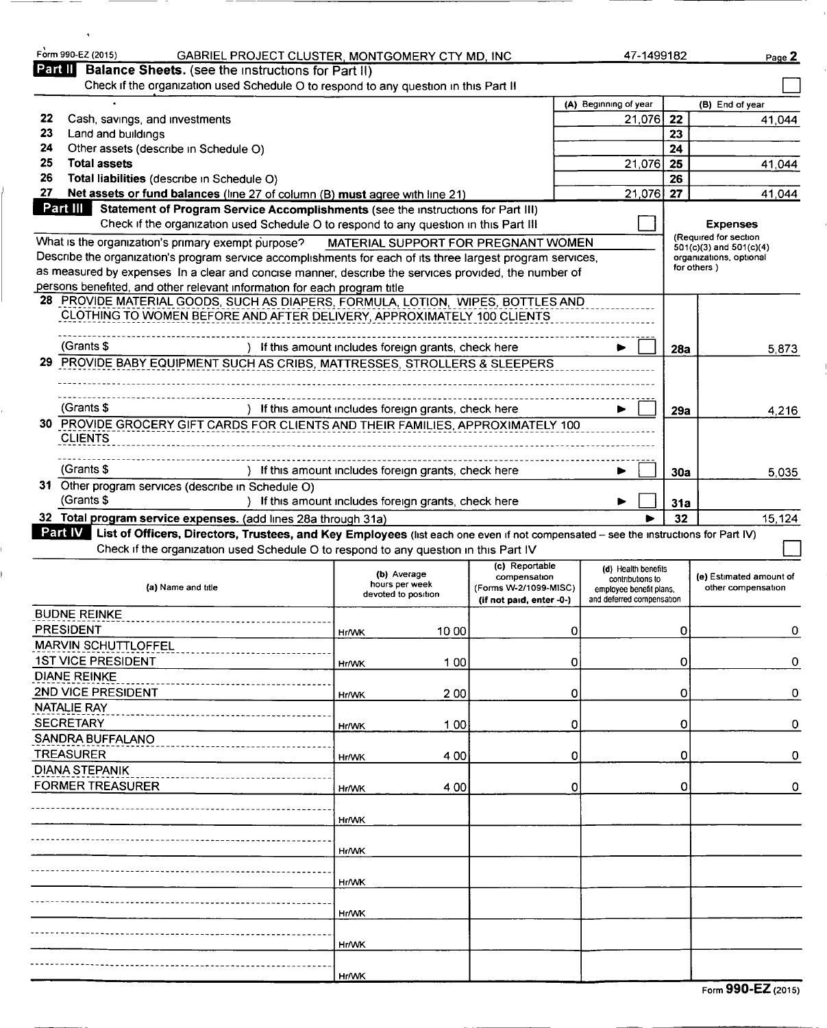|                  | Form 990-EZ (2015)<br>GABRIEL PROJECT CLUSTER, MONTGOMERY CTY MD, INC.                                                                                                                                                              |              |                                                      |                                     |                           | 47-1499182       |            | Page 2                                                 |
|------------------|-------------------------------------------------------------------------------------------------------------------------------------------------------------------------------------------------------------------------------------|--------------|------------------------------------------------------|-------------------------------------|---------------------------|------------------|------------|--------------------------------------------------------|
| Part II          | <b>Balance Sheets.</b> (see the instructions for Part II)                                                                                                                                                                           |              |                                                      |                                     |                           |                  |            |                                                        |
|                  | Check if the organization used Schedule O to respond to any question in this Part II                                                                                                                                                |              |                                                      |                                     |                           |                  |            |                                                        |
| 22               | Cash, savings, and investments                                                                                                                                                                                                      |              |                                                      |                                     | (A) Beginning of year     | 21,076           | 22         | (B) End of year<br>41.044                              |
| 23               | Land and buildings                                                                                                                                                                                                                  |              |                                                      |                                     |                           |                  | 23         |                                                        |
| 24               | Other assets (describe in Schedule O)                                                                                                                                                                                               |              |                                                      |                                     |                           |                  | 24         |                                                        |
| 25               | <b>Total assets</b>                                                                                                                                                                                                                 |              |                                                      |                                     |                           | 21,076           | 25         | 41,044                                                 |
| 26               | Total liabilities (describe in Schedule O)                                                                                                                                                                                          |              |                                                      |                                     |                           |                  | 26         |                                                        |
| 27               | Net assets or fund balances (line 27 of column (B) must agree with line 21)                                                                                                                                                         |              |                                                      |                                     |                           | 21,076           | 27         | 41.044                                                 |
| Part III         | Statement of Program Service Accomplishments (see the instructions for Part III)<br>Check if the organization used Schedule O to respond to any question in this Part III                                                           |              |                                                      |                                     |                           |                  |            |                                                        |
|                  |                                                                                                                                                                                                                                     |              |                                                      |                                     |                           |                  |            | <b>Expenses</b><br>(Required for section               |
|                  | What is the organization's primary exempt purpose?<br>Describe the organization's program service accomplishments for each of its three largest program services,                                                                   |              |                                                      | MATERIAL SUPPORT FOR PREGNANT WOMEN |                           |                  |            | $501(c)(3)$ and $501(c)(4)$<br>organizations, optional |
|                  | as measured by expenses In a clear and concise manner, describe the services provided, the number of                                                                                                                                |              |                                                      |                                     |                           |                  |            | for others)                                            |
|                  | persons benefited, and other relevant information for each program title                                                                                                                                                            |              |                                                      |                                     |                           |                  |            |                                                        |
|                  | 28 PROVIDE MATERIAL GOODS, SUCH AS DIAPERS, FORMULA, LOTION, WIPES, BOTTLES AND                                                                                                                                                     |              |                                                      |                                     |                           |                  |            |                                                        |
|                  | CLOTHING TO WOMEN BEFORE AND AFTER DELIVERY, APPROXIMATELY 100 CLIENTS                                                                                                                                                              |              |                                                      |                                     |                           |                  |            |                                                        |
|                  |                                                                                                                                                                                                                                     |              |                                                      |                                     |                           |                  |            |                                                        |
|                  | (Grants \$                                                                                                                                                                                                                          |              | ) If this amount includes foreign grants, check here |                                     |                           |                  | 28a        | 5,873                                                  |
| 29.              | PROVIDE BABY EQUIPMENT SUCH AS CRIBS, MATTRESSES, STROLLERS & SLEEPERS                                                                                                                                                              |              |                                                      |                                     |                           |                  |            |                                                        |
|                  |                                                                                                                                                                                                                                     |              |                                                      |                                     |                           |                  |            |                                                        |
|                  | (Grants \$                                                                                                                                                                                                                          |              | ) If this amount includes foreign grants, check here |                                     |                           |                  | 29a        | 4.216                                                  |
|                  | 30 PROVIDE GROCERY GIFT CARDS FOR CLIENTS AND THEIR FAMILIES, APPROXIMATELY 100                                                                                                                                                     |              |                                                      |                                     |                           |                  |            |                                                        |
|                  | <b>CLIENTS</b>                                                                                                                                                                                                                      |              |                                                      |                                     |                           |                  |            |                                                        |
|                  |                                                                                                                                                                                                                                     |              |                                                      |                                     |                           |                  |            |                                                        |
|                  | (Grants \$                                                                                                                                                                                                                          |              | ) If this amount includes foreign grants, check here |                                     |                           |                  | <b>30a</b> | 5.035                                                  |
|                  | 31 Other program services (describe in Schedule O)                                                                                                                                                                                  |              |                                                      |                                     |                           |                  |            |                                                        |
|                  | (Grants \$                                                                                                                                                                                                                          |              | ) If this amount includes foreign grants, check here |                                     |                           |                  | 31a        |                                                        |
|                  | 32 Total program service expenses. (add lines 28a through 31a)                                                                                                                                                                      |              |                                                      |                                     |                           |                  | 32         | 15,124                                                 |
|                  | Part IV List of Officers, Directors, Trustees, and Key Employees (list each one even if not compensated - see the instructions for Part IV)<br>Check if the organization used Schedule O to respond to any question in this Part IV |              |                                                      |                                     |                           |                  |            |                                                        |
|                  |                                                                                                                                                                                                                                     |              |                                                      |                                     |                           |                  |            |                                                        |
|                  |                                                                                                                                                                                                                                     |              | (b) Average                                          |                                     |                           |                  |            |                                                        |
|                  |                                                                                                                                                                                                                                     |              |                                                      | (c) Reportable<br>compensation      | (d) Health benefits       | contributions to |            | (e) Estimated amount of                                |
|                  | (a) Name and title                                                                                                                                                                                                                  |              | hours per week<br>devoted to position                | (Forms W-2/1099-MISC)               | employee benefit plans.   |                  |            | other compensation                                     |
|                  |                                                                                                                                                                                                                                     |              |                                                      | (if not paid, enter -0-)            | and deferred compensation |                  |            |                                                        |
| <b>PRESIDENT</b> | <b>BUDNE REINKE</b>                                                                                                                                                                                                                 | Hr/WK        | 10 00                                                | 0                                   |                           |                  | 0          |                                                        |
|                  | <b>MARVIN SCHUTTLOFFEL</b>                                                                                                                                                                                                          |              |                                                      |                                     |                           |                  |            |                                                        |
|                  | <b>1ST VICE PRESIDENT</b>                                                                                                                                                                                                           | <b>Hr/WK</b> | 100                                                  | 0                                   |                           |                  | 0          |                                                        |
|                  | <b>DIANE REINKE</b>                                                                                                                                                                                                                 |              |                                                      |                                     |                           |                  |            |                                                        |
|                  | 2ND VICE PRESIDENT                                                                                                                                                                                                                  | Hr/WK        | 200                                                  | 0                                   |                           |                  | 0          |                                                        |
|                  | <b>NATALIE RAY</b>                                                                                                                                                                                                                  |              |                                                      |                                     |                           |                  |            |                                                        |
| <b>SECRETARY</b> |                                                                                                                                                                                                                                     | Hr/WK        | 1 0 0                                                | 0                                   |                           |                  | 0          |                                                        |
|                  | <b>SANDRA BUFFALANO</b>                                                                                                                                                                                                             |              |                                                      |                                     |                           |                  |            |                                                        |
|                  | <b>TREASURER</b>                                                                                                                                                                                                                    | <b>Hr/WK</b> | 4 0 0                                                | 0                                   |                           |                  | 0          |                                                        |
|                  | <b>DIANA STEPANIK</b>                                                                                                                                                                                                               |              |                                                      |                                     |                           |                  |            |                                                        |
|                  | <b>FORMER TREASURER</b>                                                                                                                                                                                                             | <b>Hr/WK</b> | 4 0 0                                                | 0                                   |                           |                  | 0          |                                                        |
|                  |                                                                                                                                                                                                                                     |              |                                                      |                                     |                           |                  |            |                                                        |
|                  |                                                                                                                                                                                                                                     | Hr/WK        |                                                      |                                     |                           |                  |            |                                                        |
|                  |                                                                                                                                                                                                                                     | <b>Hr/WK</b> |                                                      |                                     |                           |                  |            |                                                        |
|                  |                                                                                                                                                                                                                                     |              |                                                      |                                     |                           |                  |            |                                                        |
|                  |                                                                                                                                                                                                                                     | <b>Hr/WK</b> |                                                      |                                     |                           |                  |            |                                                        |
|                  |                                                                                                                                                                                                                                     |              |                                                      |                                     |                           |                  |            |                                                        |
|                  |                                                                                                                                                                                                                                     | <b>Hr/WK</b> |                                                      |                                     |                           |                  |            |                                                        |
|                  |                                                                                                                                                                                                                                     |              |                                                      |                                     |                           |                  |            |                                                        |
|                  |                                                                                                                                                                                                                                     | Hr/WK        |                                                      |                                     |                           |                  |            |                                                        |
|                  |                                                                                                                                                                                                                                     | <b>Hr/WK</b> |                                                      |                                     |                           |                  |            | 0<br>O<br>0<br>0<br>0<br>0                             |

| Form 990-EZ (2015) |  |
|--------------------|--|
|--------------------|--|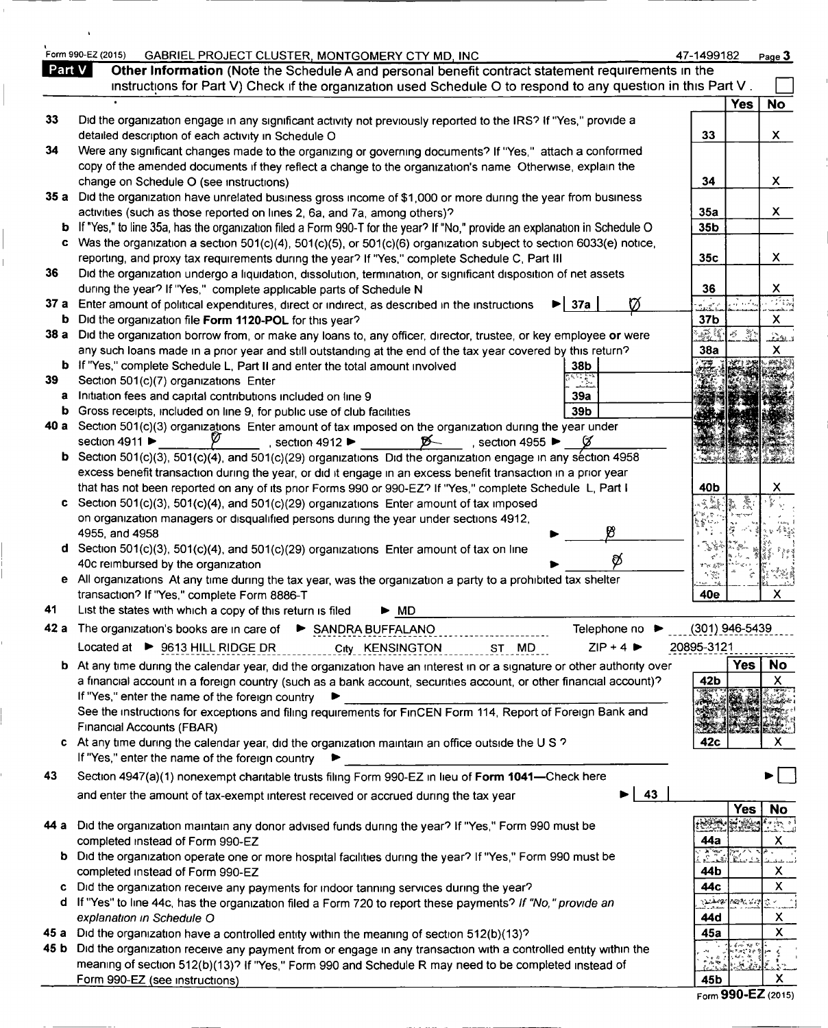|        | Form 990-EZ (2015)<br>GABRIEL PROJECT CLUSTER, MONTGOMERY CTY MD, INC                                                                                                                                                                        | 47-1499182                         |                                                | Page 3                    |
|--------|----------------------------------------------------------------------------------------------------------------------------------------------------------------------------------------------------------------------------------------------|------------------------------------|------------------------------------------------|---------------------------|
| Part V | Other Information (Note the Schedule A and personal benefit contract statement requirements in the                                                                                                                                           |                                    |                                                |                           |
|        | instructions for Part V) Check if the organization used Schedule O to respond to any question in this Part V.                                                                                                                                |                                    |                                                |                           |
|        |                                                                                                                                                                                                                                              |                                    | <b>Yes</b>                                     | <b>No</b>                 |
| 33     | Did the organization engage in any significant activity not previously reported to the IRS? If "Yes," provide a                                                                                                                              | 33                                 |                                                | $\mathsf{X}$              |
| 34     | detailed description of each activity in Schedule O<br>Were any significant changes made to the organizing or governing documents? If "Yes," attach a conformed                                                                              |                                    |                                                |                           |
|        | copy of the amended documents if they reflect a change to the organization's name Otherwise, explain the                                                                                                                                     |                                    |                                                |                           |
|        | change on Schedule O (see instructions)                                                                                                                                                                                                      | 34                                 |                                                | X.                        |
|        | 35 a Did the organization have unrelated business gross income of \$1,000 or more during the year from business                                                                                                                              |                                    |                                                |                           |
|        | activities (such as those reported on lines 2, 6a, and 7a, among others)?                                                                                                                                                                    | 35a                                |                                                | X.                        |
| b      | If "Yes," to line 35a, has the organization filed a Form 990-T for the year? If "No," provide an explanation in Schedule O                                                                                                                   | 35b                                |                                                |                           |
| c      | Was the organization a section 501(c)(4), 501(c)(5), or 501(c)(6) organization subject to section 6033(e) notice,                                                                                                                            |                                    |                                                |                           |
|        | reporting, and proxy tax requirements during the year? If "Yes," complete Schedule C, Part III                                                                                                                                               | 35c                                |                                                | X.                        |
| 36     | Did the organization undergo a liquidation, dissolution, termination, or significant disposition of net assets                                                                                                                               |                                    |                                                |                           |
|        | during the year? If "Yes," complete applicable parts of Schedule N<br>37 a Enter amount of political expenditures, direct or indirect, as described in the instructions<br>37a<br>▶∣                                                         | 36<br>a<br>Sarahid                 |                                                | X<br>733                  |
| b      | Did the organization file Form 1120-POL for this year?                                                                                                                                                                                       | 37b                                |                                                | $\mathsf{x}$              |
|        | 38 a Did the organization borrow from, or make any loans to, any officer, director, trustee, or key employee or were                                                                                                                         | BŽ Š                               | X<br>$\mathcal{L}^{\mathcal{S}}_{\mathcal{S}}$ | نشك                       |
|        | any such loans made in a prior year and still outstanding at the end of the tax year covered by this return?                                                                                                                                 | 38a                                |                                                | X.                        |
|        | <b>b</b> If "Yes," complete Schedule L, Part II and enter the total amount involved<br>38b                                                                                                                                                   |                                    |                                                |                           |
| 39     | Section 501(c)(7) organizations Enter                                                                                                                                                                                                        |                                    |                                                |                           |
| a      | Initiation fees and capital contributions included on line 9<br>39a                                                                                                                                                                          |                                    |                                                |                           |
| b      | 39b<br>Gross receipts, included on line 9, for public use of club facilities                                                                                                                                                                 |                                    |                                                |                           |
|        | 40 a Section 501(c)(3) organizations Enter amount of tax imposed on the organization during the year under                                                                                                                                   |                                    |                                                |                           |
| b      | section 4911 $\blacktriangleright$<br>section 4912 $\blacktriangleright$<br>$\cancel{p}$<br>section 4955 $\blacktriangleright$<br>Section 501(c)(3), 501(c)(4), and 501(c)(29) organizations Did the organization engage in any section 4958 |                                    |                                                |                           |
|        | excess benefit transaction during the year, or did it engage in an excess benefit transaction in a prior year                                                                                                                                |                                    |                                                |                           |
|        | that has not been reported on any of its prior Forms 990 or 990-EZ? If "Yes," complete Schedule L, Part I                                                                                                                                    | 40b                                |                                                | х                         |
| c      | Section 501(c)(3), 501(c)(4), and 501(c)(29) organizations Enter amount of tax imposed                                                                                                                                                       |                                    |                                                |                           |
|        | on organization managers or disqualified persons during the year under sections 4912,                                                                                                                                                        |                                    |                                                |                           |
|        | 93<br>4955, and 4958                                                                                                                                                                                                                         |                                    |                                                |                           |
|        | d Section 501(c)(3), 501(c)(4), and 501(c)(29) organizations Enter amount of tax on line<br>ø                                                                                                                                                | アダ                                 |                                                |                           |
|        | 40c reimbursed by the organization                                                                                                                                                                                                           | すつべんき<br>$\gamma_{\rm X}^{\rm ex}$ |                                                |                           |
|        | e All organizations At any time during the tax year, was the organization a party to a prohibited tax shelter                                                                                                                                |                                    |                                                | X                         |
|        | transaction? If "Yes," complete Form 8886-T                                                                                                                                                                                                  | 40e                                |                                                |                           |
|        | List the states with which a copy of this return is filed<br>$\triangleright$ MD                                                                                                                                                             |                                    |                                                |                           |
|        | Telephone no<br>42 a The organization's books are in care of ▶ SANDRA BUFFALANO                                                                                                                                                              | (301) 946-5439                     |                                                |                           |
|        | $ZIP + 4$<br>Located at ▶ 9613 HILL RIDGE DR<br>City KENSINGTON<br>ST MD                                                                                                                                                                     | 20895-3121                         |                                                |                           |
| b.     | At any time during the calendar year, did the organization have an interest in or a signature or other authority over                                                                                                                        |                                    | <b>Yes</b>                                     | No.                       |
|        | a financial account in a foreign country (such as a bank account, securities account, or other financial account)?                                                                                                                           | 42b                                |                                                | X                         |
|        | If "Yes," enter the name of the foreign country<br>See the instructions for exceptions and filing requirements for FinCEN Form 114, Report of Foreign Bank and                                                                               |                                    |                                                |                           |
|        | Financial Accounts (FBAR)                                                                                                                                                                                                                    |                                    |                                                |                           |
| c.     | At any time during the calendar year, did the organization maintain an office outside the U S ?                                                                                                                                              | 42c                                |                                                | X.                        |
|        | If "Yes," enter the name of the foreign country                                                                                                                                                                                              |                                    |                                                |                           |
| 43     | Section 4947(a)(1) nonexempt charitable trusts filing Form 990-EZ in lieu of Form 1041-Check here                                                                                                                                            |                                    |                                                |                           |
|        | 43<br>and enter the amount of tax-exempt interest received or accrued during the tax year                                                                                                                                                    |                                    |                                                |                           |
|        |                                                                                                                                                                                                                                              |                                    | Yes                                            | <b>No</b>                 |
| 44 а   | Did the organization maintain any donor advised funds during the year? If "Yes," Form 990 must be                                                                                                                                            | <b>RESERV</b>                      |                                                | 당한 이                      |
|        | completed instead of Form 990-EZ                                                                                                                                                                                                             | 44a                                |                                                | Х                         |
|        | <b>b</b> Did the organization operate one or more hospital facilities during the year? If "Yes," Form 990 must be                                                                                                                            | $\sum_{i=1}^{n}$                   |                                                |                           |
|        | completed instead of Form 990-EZ                                                                                                                                                                                                             | 44b                                |                                                | Х                         |
|        | Did the organization receive any payments for indoor tanning services during the year?                                                                                                                                                       | 44с                                |                                                | $\boldsymbol{\mathsf{X}}$ |
|        | d If "Yes" to line 44c, has the organization filed a Form 720 to report these payments? If "No," provide an                                                                                                                                  |                                    | ్నమశేశాఖ్/గెవినికి కూడ                         | はく                        |
|        | explanation in Schedule O                                                                                                                                                                                                                    | 44d                                |                                                | Х                         |
| 45 a   | Did the organization have a controlled entity within the meaning of section 512(b)(13)?                                                                                                                                                      | 45a                                |                                                | $\pmb{\times}$            |
| 45 b   | Did the organization receive any payment from or engage in any transaction with a controlled entity within the<br>meaning of section 512(b)(13)? If "Yes," Form 990 and Schedule R may need to be completed instead of                       | r Ale                              |                                                |                           |
|        |                                                                                                                                                                                                                                              |                                    |                                                |                           |

Form 990-EZ (2015)

 $\overline{1}$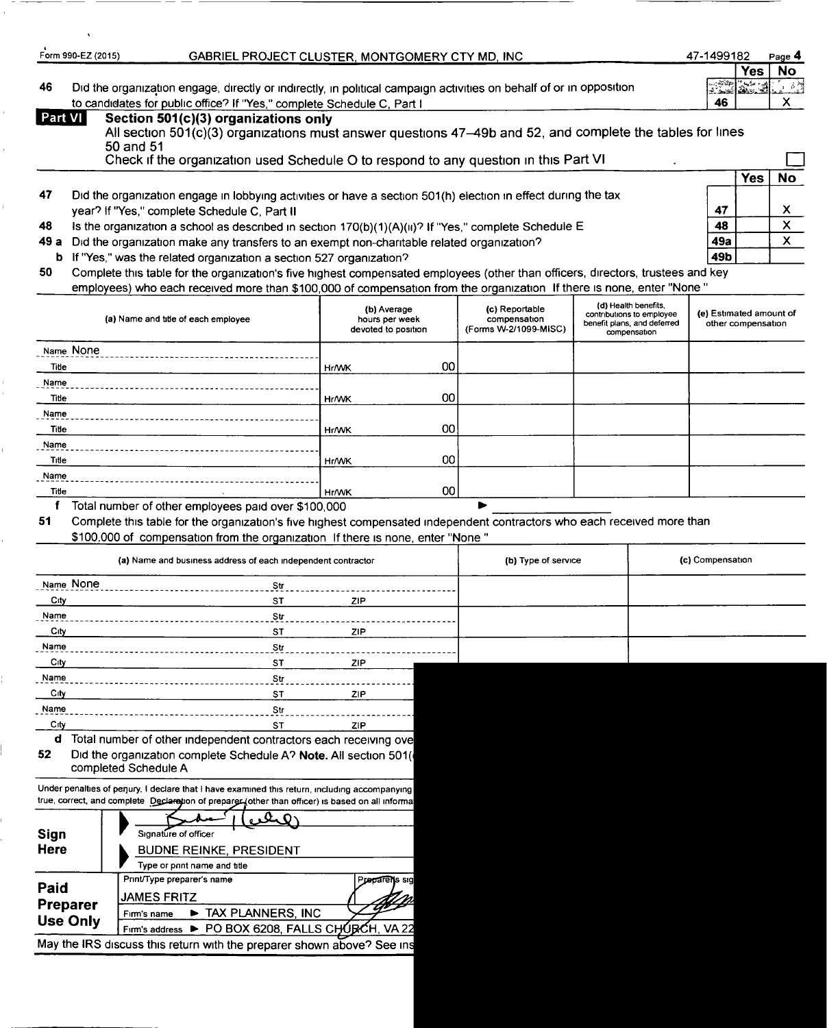|         | GABRIEL PROJECT CLUSTER, MONTGOMERY CTY MD, INC<br>Form 990-EZ (2015)                                                                                                                                                                                       | 47-1499182                          | Page 4           |  |
|---------|-------------------------------------------------------------------------------------------------------------------------------------------------------------------------------------------------------------------------------------------------------------|-------------------------------------|------------------|--|
| 46      | Did the organization engage, directly or indirectly, in political campaign activities on behalf of or in opposition<br>to candidates for public office? If "Yes," complete Schedule C, Part I                                                               | و مایا (عائقات)<br>شاهدان است<br>46 | <b>No</b><br>Yes |  |
| Part VI | Section 501(c)(3) organizations only<br>All section 501(c)(3) organizations must answer questions 47–49b and 52, and complete the tables for lines<br>$50$ and $51$<br>Check if the organization used Schedule O to respond to any question in this Part VI |                                     |                  |  |
|         |                                                                                                                                                                                                                                                             |                                     | No               |  |

| 47 | Did the organization engage in lobbying activities or have a section 501(h) election in effect during the tax |    |              |
|----|---------------------------------------------------------------------------------------------------------------|----|--------------|
|    | year? If "Yes," complete Schedule C. Part II                                                                  | 47 | $\checkmark$ |

| 48 | Is the organization a school as described in section $170(b)(1)(A)(ii)$ ? If "Yes," complete Schedule E | 48 | $\overline{\mathbf{z}}$ |
|----|---------------------------------------------------------------------------------------------------------|----|-------------------------|
|    |                                                                                                         |    |                         |

- 49 a Did the organization make any transfers to an exempt non-charitable related organization?
- **b** If "Yes," was the related organization a section 527 organization?

50 Complete this table for the organization's five highest compensated employees (other than officers, directors, trustees and key employees) who each received more than \$100,000 of compensation from the organization If there is none, enter "None "

| (a) Name and title of each employee | (b) Average<br>hours per week<br>devoted to position | (c) Reportable<br>compensation<br>(Forms W-2/1099-MISC) | (d) Health benefits,<br>contributions to employee<br>benefit plans, and deferred<br>compensation | (e) Estimated amount of<br>other compensation |
|-------------------------------------|------------------------------------------------------|---------------------------------------------------------|--------------------------------------------------------------------------------------------------|-----------------------------------------------|
| Name None                           |                                                      |                                                         |                                                                                                  |                                               |
| Title                               | <b>Hr/WK</b>                                         | 00 <sup>1</sup>                                         |                                                                                                  |                                               |
| Name                                |                                                      |                                                         |                                                                                                  |                                               |
| Title                               | <b>Hr/WK</b>                                         | 00 <sub>1</sub>                                         |                                                                                                  |                                               |
| Name                                |                                                      |                                                         |                                                                                                  |                                               |
| Title                               | <b>Hr/WK</b>                                         | 00                                                      |                                                                                                  |                                               |
| Name                                |                                                      |                                                         |                                                                                                  |                                               |
| Title                               | Hr/WK                                                | 00 <sub>1</sub>                                         |                                                                                                  |                                               |
| Name                                |                                                      |                                                         |                                                                                                  |                                               |
| Title                               | Hr/WK                                                | 00 <sub>0</sub>                                         |                                                                                                  |                                               |

<sup>f</sup> Total number of other employees paid over \$100,000

51 Complete this table for the organization's five highest compensated independent contractors who each received more than

\$100,000 of compensation from the organization If there is none, enter "None "

|               | (a) Name and business address of each independent contractor | (b) Type of service | (c) Compensation |  |  |
|---------------|--------------------------------------------------------------|---------------------|------------------|--|--|
| Name None     | Str                                                          |                     |                  |  |  |
| $_{\rm City}$ | <b>ST</b>                                                    | ZIP.                |                  |  |  |
| Name          | Str                                                          |                     |                  |  |  |
| $_{\rm C}$ ty | <b>ST</b>                                                    | ZIP                 |                  |  |  |
| Name          | Str                                                          |                     |                  |  |  |
| City          | <b>ST</b>                                                    | ZIP.                |                  |  |  |
| Name          | Str                                                          |                     |                  |  |  |
| City          | S <sub>T</sub>                                               | ZIP                 |                  |  |  |
| Name          | Str                                                          |                     |                  |  |  |

City ST ZIP d Total number of other independent contractors each receiving ove 52 Did the organization complete Schedule A? Note. All section 501(

completed Schedule A

Under penalties of perjury, I declare that I have examined this return, including accompanying true, correct, and complete Declaretion of preparer. (other than officer) is based on all informa

| Sign<br><b>Here</b> | Signature of officer<br><b>BUDNE REINKE, PRESIDENT</b><br>Type or pnnt name and title |
|---------------------|---------------------------------------------------------------------------------------|
| Paid                | Print/Type preparer's name<br>Preparents sig<br><b>JAMES FRITZ</b>                    |
| <b>Preparer</b>     | TAX PLANNERS, INC<br>Firm's name                                                      |
| <b>Use Only</b>     | Firm's address > PO BOX 6208, FALLS CHURCH, VA 22                                     |
|                     | May the IRS discuss this return with the preparer shown above? See ins                |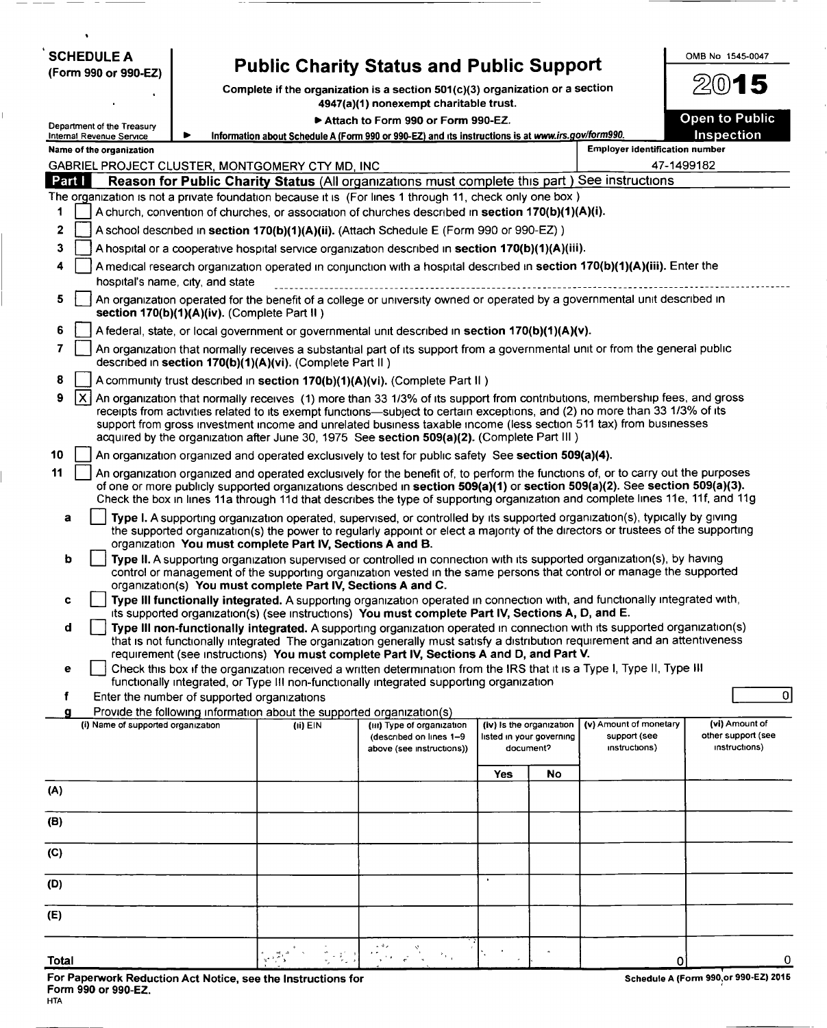| <b>SCHEDULE A</b>                                                                                            |                                              |                                                                                     | <b>Public Charity Status and Public Support</b>                                                                                                                                                                                                                                                                                                                                                                                                                               |     |                                       |                                       | OMB No 1545-0047                      |
|--------------------------------------------------------------------------------------------------------------|----------------------------------------------|-------------------------------------------------------------------------------------|-------------------------------------------------------------------------------------------------------------------------------------------------------------------------------------------------------------------------------------------------------------------------------------------------------------------------------------------------------------------------------------------------------------------------------------------------------------------------------|-----|---------------------------------------|---------------------------------------|---------------------------------------|
| (Form 990 or 990-EZ)                                                                                         |                                              |                                                                                     | Complete if the organization is a section 501(c)(3) organization or a section                                                                                                                                                                                                                                                                                                                                                                                                 |     |                                       |                                       | 2015                                  |
|                                                                                                              |                                              |                                                                                     | 4947(a)(1) nonexempt charitable trust.                                                                                                                                                                                                                                                                                                                                                                                                                                        |     |                                       |                                       | <b>Open to Public</b>                 |
| Department of the Treasury<br><b>Internal Revenue Service</b>                                                | ▶                                            |                                                                                     | Attach to Form 990 or Form 990-EZ.<br>Information about Schedule A (Form 990 or 990-EZ) and its instructions is at www.irs.gov/form990.                                                                                                                                                                                                                                                                                                                                       |     |                                       |                                       | Inspection                            |
| Name of the organization                                                                                     |                                              |                                                                                     |                                                                                                                                                                                                                                                                                                                                                                                                                                                                               |     |                                       | <b>Employer identification number</b> |                                       |
| GABRIEL PROJECT CLUSTER, MONTGOMERY CTY MD, INC                                                              |                                              |                                                                                     |                                                                                                                                                                                                                                                                                                                                                                                                                                                                               |     |                                       |                                       | 47-1499182                            |
| Part I                                                                                                       |                                              |                                                                                     | Reason for Public Charity Status (All organizations must complete this part) See instructions                                                                                                                                                                                                                                                                                                                                                                                 |     |                                       |                                       |                                       |
| The organization is not a private foundation because it is (For lines 1 through 11, check only one box)<br>1 |                                              |                                                                                     | A church, convention of churches, or association of churches described in section 170(b)(1)(A)(i).                                                                                                                                                                                                                                                                                                                                                                            |     |                                       |                                       |                                       |
| 2                                                                                                            |                                              |                                                                                     | A school described in section 170(b)(1)(A)(ii). (Attach Schedule E (Form 990 or 990-EZ))                                                                                                                                                                                                                                                                                                                                                                                      |     |                                       |                                       |                                       |
| 3                                                                                                            |                                              |                                                                                     | A hospital or a cooperative hospital service organization described in section 170(b)(1)(A)(iii).                                                                                                                                                                                                                                                                                                                                                                             |     |                                       |                                       |                                       |
| 4                                                                                                            | hospital's name, city, and state             |                                                                                     | A medical research organization operated in conjunction with a hospital described in section 170(b)(1)(A)(iii). Enter the                                                                                                                                                                                                                                                                                                                                                     |     |                                       |                                       |                                       |
| 5                                                                                                            | section 170(b)(1)(A)(iv). (Complete Part II) |                                                                                     | An organization operated for the benefit of a college or university owned or operated by a governmental unit described in                                                                                                                                                                                                                                                                                                                                                     |     |                                       |                                       |                                       |
| 6                                                                                                            |                                              |                                                                                     | A federal, state, or local government or governmental unit described in section 170(b)(1)(A)(v).                                                                                                                                                                                                                                                                                                                                                                              |     |                                       |                                       |                                       |
| 7                                                                                                            |                                              | described in section 170(b)(1)(A)(vi). (Complete Part II)                           | An organization that normally receives a substantial part of its support from a governmental unit or from the general public                                                                                                                                                                                                                                                                                                                                                  |     |                                       |                                       |                                       |
| 8                                                                                                            |                                              |                                                                                     | A community trust described in section 170(b)(1)(A)(vi). (Complete Part II)                                                                                                                                                                                                                                                                                                                                                                                                   |     |                                       |                                       |                                       |
| 9<br>$ \mathsf{X} $                                                                                          |                                              |                                                                                     | An organization that normally receives (1) more than 33 1/3% of its support from contributions, membership fees, and gross<br>receipts from activities related to its exempt functions—subject to certain exceptions, and (2) no more than 33 1/3% of its<br>support from gross investment income and unrelated business taxable income (less section 511 tax) from businesses<br>acquired by the organization after June 30, 1975 See section 509(a)(2). (Complete Part III) |     |                                       |                                       |                                       |
| 10                                                                                                           |                                              |                                                                                     | An organization organized and operated exclusively to test for public safety See section 509(a)(4).                                                                                                                                                                                                                                                                                                                                                                           |     |                                       |                                       |                                       |
| 11                                                                                                           |                                              |                                                                                     | An organization organized and operated exclusively for the benefit of, to perform the functions of, or to carry out the purposes<br>of one or more publicly supported organizations described in section 509(a)(1) or section 509(a)(2). See section 509(a)(3).<br>Check the box in lines 11a through 11d that describes the type of supporting organization and complete lines 11e, 11f, and 11g                                                                             |     |                                       |                                       |                                       |
| a                                                                                                            |                                              | organization You must complete Part IV, Sections A and B.                           | Type I. A supporting organization operated, supervised, or controlled by its supported organization(s), typically by giving<br>the supported organization(s) the power to regularly appoint or elect a majority of the directors or trustees of the supporting                                                                                                                                                                                                                |     |                                       |                                       |                                       |
| b                                                                                                            |                                              | organization(s) You must complete Part IV, Sections A and C.                        | Type II. A supporting organization supervised or controlled in connection with its supported organization(s), by having<br>control or management of the supporting organization vested in the same persons that control or manage the supported                                                                                                                                                                                                                               |     |                                       |                                       |                                       |
| c                                                                                                            |                                              |                                                                                     | Type III functionally integrated. A supporting organization operated in connection with, and functionally integrated with,<br>its supported organization(s) (see instructions) You must complete Part IV, Sections A, D, and E.                                                                                                                                                                                                                                               |     |                                       |                                       |                                       |
| d                                                                                                            |                                              |                                                                                     | Type III non-functionally integrated. A supporting organization operated in connection with its supported organization(s)<br>that is not functionally integrated. The organization generally must satisfy a distribution requirement and an attentiveness<br>requirement (see instructions) You must complete Part IV, Sections A and D, and Part V.                                                                                                                          |     |                                       |                                       |                                       |
| е                                                                                                            |                                              |                                                                                     | Check this box if the organization received a written determination from the IRS that it is a Type I, Type II, Type III<br>functionally integrated, or Type III non-functionally integrated supporting organization                                                                                                                                                                                                                                                           |     |                                       |                                       |                                       |
| f                                                                                                            | Enter the number of supported organizations  |                                                                                     |                                                                                                                                                                                                                                                                                                                                                                                                                                                                               |     |                                       |                                       | $\Omega$                              |
| g<br>(i) Name of supported organization                                                                      |                                              | Provide the following information about the supported organization(s)<br>$(ii)$ EIN |                                                                                                                                                                                                                                                                                                                                                                                                                                                                               |     | (iv) Is the organization              | (v) Amount of monetary                | (vi) Amount of                        |
|                                                                                                              |                                              |                                                                                     | (iii) Type of organization<br>(described on lines 1-9<br>above (see instructions))                                                                                                                                                                                                                                                                                                                                                                                            |     | listed in your governing<br>document? | support (see<br>instructions)         | other support (see<br>instructions)   |
|                                                                                                              |                                              |                                                                                     |                                                                                                                                                                                                                                                                                                                                                                                                                                                                               | Yes | No                                    |                                       |                                       |
| (A)                                                                                                          |                                              |                                                                                     |                                                                                                                                                                                                                                                                                                                                                                                                                                                                               |     |                                       |                                       |                                       |
| (B)                                                                                                          |                                              |                                                                                     |                                                                                                                                                                                                                                                                                                                                                                                                                                                                               |     |                                       |                                       |                                       |
| (C)                                                                                                          |                                              |                                                                                     |                                                                                                                                                                                                                                                                                                                                                                                                                                                                               |     |                                       |                                       |                                       |
| (D)                                                                                                          |                                              |                                                                                     |                                                                                                                                                                                                                                                                                                                                                                                                                                                                               |     |                                       |                                       |                                       |
| (E)                                                                                                          |                                              |                                                                                     |                                                                                                                                                                                                                                                                                                                                                                                                                                                                               |     |                                       |                                       |                                       |
| Total                                                                                                        |                                              |                                                                                     |                                                                                                                                                                                                                                                                                                                                                                                                                                                                               |     |                                       | 0                                     | 0                                     |
| For Paperwork Reduction Act Notice, see the Instructions for                                                 |                                              |                                                                                     |                                                                                                                                                                                                                                                                                                                                                                                                                                                                               |     |                                       |                                       | Schedule A (Form 990, or 990-EZ) 2015 |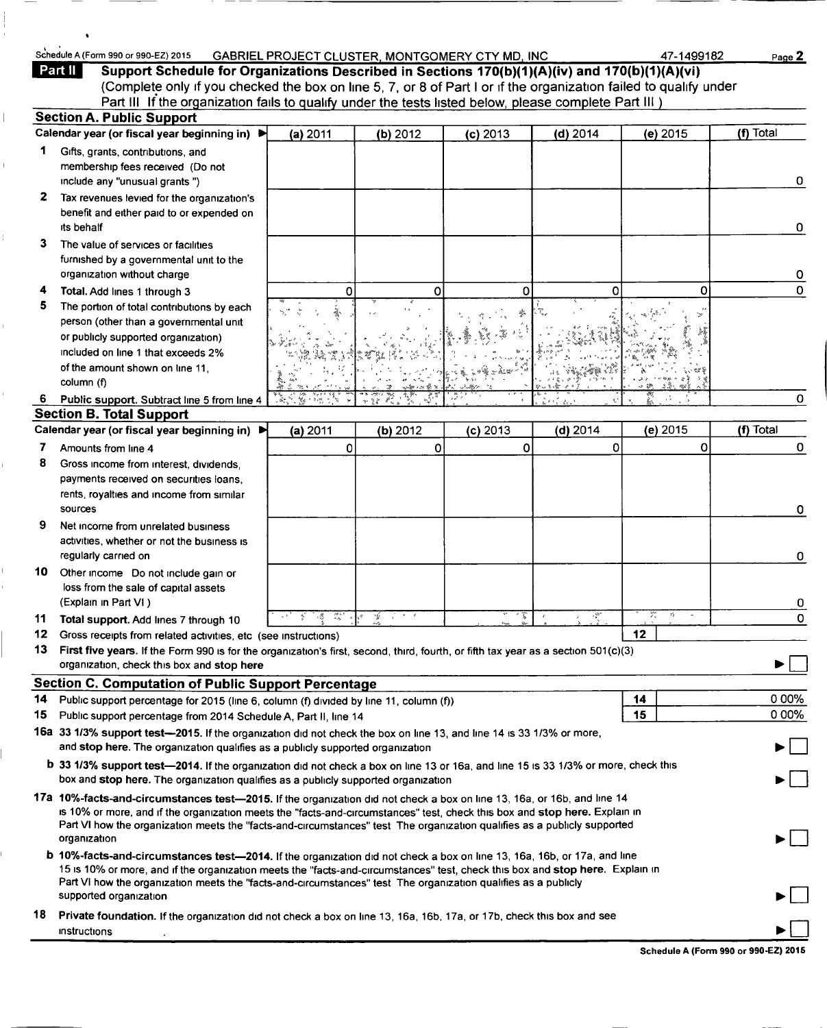## Schedule A (Form 990 or 990-EZ) 2015 GABRIEL PROJECT CLUSTER, MONTGOMERY CTY MD, INC 47-1499182 Page 2<br>Part II Support Schedule for Organizations Described in Sections 170(b)(1)(A)(iv) and 170(b)(1)(A)(vi)

Support Schedule for Organizations Described in Sections 170(b)(1)(A)(iv) and 170(b)(1)(A)(vi) (Complete only if you checked the box on line 5, 7, or 8 of Part <sup>I</sup> or if the organization failed to qualify under Part III If the organization fails to qualify under the tests listed below, please complete Part III )

|    | <b>Section A. Public Support</b>                                                                                                                                                                                                                                                                                                                                                                  |                      |          |            |               |                    |           |  |
|----|---------------------------------------------------------------------------------------------------------------------------------------------------------------------------------------------------------------------------------------------------------------------------------------------------------------------------------------------------------------------------------------------------|----------------------|----------|------------|---------------|--------------------|-----------|--|
|    | Calendar year (or fiscal year beginning in) ▶                                                                                                                                                                                                                                                                                                                                                     | (a) 2011             | (b) 2012 | $(c)$ 2013 | $(d)$ 2014    | (e) 2015           | (f) Total |  |
| 1. | Gifts, grants, contributions, and<br>membership fees received (Do not                                                                                                                                                                                                                                                                                                                             |                      |          |            |               |                    |           |  |
|    | include any "unusual grants")                                                                                                                                                                                                                                                                                                                                                                     |                      |          |            |               |                    | 0         |  |
| 2  | Tax revenues levied for the organization's<br>benefit and either paid to or expended on<br>its behalf                                                                                                                                                                                                                                                                                             |                      |          |            |               |                    | 0         |  |
| 3  | The value of services or facilities                                                                                                                                                                                                                                                                                                                                                               |                      |          |            |               |                    |           |  |
|    | furnished by a governmental unit to the<br>organization without charge                                                                                                                                                                                                                                                                                                                            |                      |          |            |               |                    | 0         |  |
| 4  | Total. Add lines 1 through 3                                                                                                                                                                                                                                                                                                                                                                      | 0                    | 0        | O          | Ω             | 0                  | 0         |  |
| 5. | The portion of total contributions by each<br>person (other than a governmental unit                                                                                                                                                                                                                                                                                                              |                      |          |            |               |                    |           |  |
|    | or publicly supported organization)                                                                                                                                                                                                                                                                                                                                                               |                      |          |            |               |                    |           |  |
|    | included on line 1 that exceeds 2%                                                                                                                                                                                                                                                                                                                                                                |                      |          |            |               |                    |           |  |
|    | of the amount shown on line 11,<br>column (f)                                                                                                                                                                                                                                                                                                                                                     |                      |          |            |               |                    |           |  |
| 6  | Public support. Subtract line 5 from line 4                                                                                                                                                                                                                                                                                                                                                       |                      |          |            |               |                    | 0         |  |
|    | <b>Section B. Total Support</b>                                                                                                                                                                                                                                                                                                                                                                   |                      |          |            |               |                    |           |  |
|    | Calendar year (or fiscal year beginning in) ▶                                                                                                                                                                                                                                                                                                                                                     | (a) 2011             | (b) 2012 | $(c)$ 2013 | $(d)$ 2014    | (e) 2015           | (f) Total |  |
| 7  | Amounts from line 4                                                                                                                                                                                                                                                                                                                                                                               | 0                    | 0        | 0          | 0             | $\Omega$           | 0         |  |
| 8  | Gross income from interest, dividends,                                                                                                                                                                                                                                                                                                                                                            |                      |          |            |               |                    |           |  |
|    | payments received on securities loans,                                                                                                                                                                                                                                                                                                                                                            |                      |          |            |               |                    |           |  |
|    | rents, royalties and income from similar<br>sources                                                                                                                                                                                                                                                                                                                                               |                      |          |            |               |                    | 0         |  |
| 9  | Net income from unrelated business                                                                                                                                                                                                                                                                                                                                                                |                      |          |            |               |                    |           |  |
|    | activities, whether or not the business is                                                                                                                                                                                                                                                                                                                                                        |                      |          |            |               |                    |           |  |
|    | regularly carried on                                                                                                                                                                                                                                                                                                                                                                              |                      |          |            |               |                    | 0         |  |
| 10 | Other income Do not include gain or<br>loss from the sale of capital assets                                                                                                                                                                                                                                                                                                                       |                      |          |            |               |                    |           |  |
|    | (Explain in Part VI)                                                                                                                                                                                                                                                                                                                                                                              |                      |          |            |               | χ.<br>$\gamma_S^*$ | 0         |  |
| 11 | Total support. Add lines 7 through 10                                                                                                                                                                                                                                                                                                                                                             | $\frac{1}{2}$<br>- 8 | Ý.       | 八家         | $\frac{1}{2}$ |                    | 0         |  |
| 12 | Gross receipts from related activities, etc (see instructions)                                                                                                                                                                                                                                                                                                                                    |                      |          |            |               | 12                 |           |  |
| 13 | First five years. If the Form 990 is for the organization's first, second, third, fourth, or fifth tax year as a section 501(c)(3)<br>organization, check this box and stop here                                                                                                                                                                                                                  |                      |          |            |               |                    |           |  |
|    |                                                                                                                                                                                                                                                                                                                                                                                                   |                      |          |            |               |                    |           |  |
| 14 | <b>Section C. Computation of Public Support Percentage</b>                                                                                                                                                                                                                                                                                                                                        |                      |          |            |               |                    | 0 00%     |  |
| 15 | Public support percentage for 2015 (line 6, column (f) divided by line 11, column (f))<br>Public support percentage from 2014 Schedule A, Part II, line 14                                                                                                                                                                                                                                        |                      |          |            |               | 14<br>15           | 0 00%     |  |
|    | 16a 33 1/3% support test-2015. If the organization did not check the box on line 13, and line 14 is 33 1/3% or more,                                                                                                                                                                                                                                                                              |                      |          |            |               |                    |           |  |
|    | and stop here. The organization qualifies as a publicly supported organization                                                                                                                                                                                                                                                                                                                    |                      |          |            |               |                    | • I I     |  |
|    | b 33 1/3% support test-2014. If the organization did not check a box on line 13 or 16a, and line 15 is 33 1/3% or more, check this                                                                                                                                                                                                                                                                |                      |          |            |               |                    |           |  |
|    | box and stop here. The organization qualifies as a publicly supported organization                                                                                                                                                                                                                                                                                                                |                      |          |            |               |                    | ► I I     |  |
|    | 17a 10%-facts-and-circumstances test-2015. If the organization did not check a box on line 13, 16a, or 16b, and line 14<br>is 10% or more, and if the organization meets the "facts-and-circumstances" test, check this box and stop here. Explain in<br>Part VI how the organization meets the "facts-and-circumstances" test The organization qualifies as a publicly supported<br>organization |                      |          |            |               |                    |           |  |
|    | <b>b</b> 10%-facts-and-circumstances test-2014. If the organization did not check a box on line 13, 16a, 16b, or 17a, and line                                                                                                                                                                                                                                                                    |                      |          |            |               |                    |           |  |
|    | 15 is 10% or more, and if the organization meets the "facts-and-circumstances" test, check this box and stop here. Explain in<br>Part VI how the organization meets the "facts-and-circumstances" test The organization qualifies as a publicly                                                                                                                                                   |                      |          |            |               |                    |           |  |
|    | supported organization                                                                                                                                                                                                                                                                                                                                                                            |                      |          |            |               |                    |           |  |
| 18 | Private foundation. If the organization did not check a box on line 13, 16a, 16b, 17a, or 17b, check this box and see<br>instructions                                                                                                                                                                                                                                                             |                      |          |            |               |                    |           |  |

Schedule A (Form 990 or 990-EZ) 2015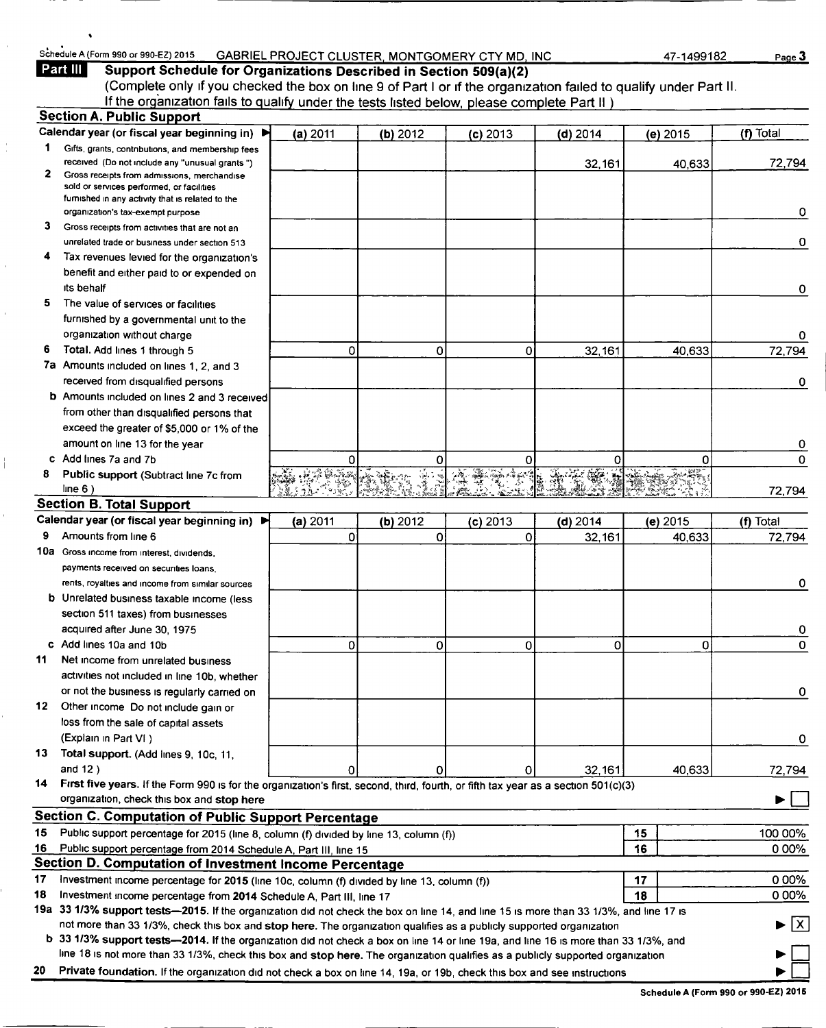## Schedule A (Form 990 or 990-EZ) 2015 GABRIEL PROJECT CLUSTER, MONTGOMERY CTY MD, INC 47-1499182 Page 3<br>Part III Support Schedule for Organizations Described in Section 509(a)(2)

Support Schedule for Organizations Described in Section 509(a)(2) (Complete only if you checked the box on line 9 of Part <sup>I</sup> or if the organization failed to qualify under Part II. If the organization fails to qualify under the tests listed below, please complete Part li ) Section A. Public Support

|    | <u>oeduon A. Fublic Support</u><br>Calendar year (or fiscal year beginning in) ▶                                                       | (a) 2011 | (b) 2012 | $(c)$ 2013 | $(d)$ 2014 | (e) 2015 | (f) Total                          |
|----|----------------------------------------------------------------------------------------------------------------------------------------|----------|----------|------------|------------|----------|------------------------------------|
| 1. | Gifts, grants, contributions, and membership fees                                                                                      |          |          |            |            |          |                                    |
|    | received (Do not include any "unusual grants")                                                                                         |          |          |            | 32,161     | 40,633   | 72,794                             |
| 2  | Gross receipts from admissions, merchandise                                                                                            |          |          |            |            |          |                                    |
|    | sold or services performed, or facilities                                                                                              |          |          |            |            |          |                                    |
|    | furnished in any activity that is related to the<br>organization's tax-exempt purpose                                                  |          |          |            |            |          | 0                                  |
| 3  | Gross receipts from activities that are not an                                                                                         |          |          |            |            |          |                                    |
|    | unrelated trade or business under section 513                                                                                          |          |          |            |            |          | 0                                  |
| 4  | Tax revenues levied for the organization's                                                                                             |          |          |            |            |          |                                    |
|    | benefit and either paid to or expended on                                                                                              |          |          |            |            |          |                                    |
|    | its behalf                                                                                                                             |          |          |            |            |          | 0                                  |
| 5  | The value of services or facilities                                                                                                    |          |          |            |            |          |                                    |
|    | furnished by a governmental unit to the                                                                                                |          |          |            |            |          |                                    |
|    | organization without charge                                                                                                            |          |          |            |            |          | 0                                  |
| 6  | Total. Add lines 1 through 5                                                                                                           | 0        | 0        | 0          | 32,161     | 40,633   | 72,794                             |
|    | 7a Amounts included on lines 1, 2, and 3                                                                                               |          |          |            |            |          |                                    |
|    | received from disqualified persons                                                                                                     |          |          |            |            |          | 0                                  |
|    | <b>b</b> Amounts included on lines 2 and 3 received                                                                                    |          |          |            |            |          |                                    |
|    | from other than disqualified persons that                                                                                              |          |          |            |            |          |                                    |
|    | exceed the greater of \$5,000 or 1% of the                                                                                             |          |          |            |            |          |                                    |
|    | amount on line 13 for the year                                                                                                         |          |          |            |            |          | 0                                  |
|    | Add lines 7a and 7b                                                                                                                    | 0        | 0        | 0          | 0          | Ω        | 0                                  |
| 8  | Public support (Subtract line 7c from                                                                                                  |          |          |            |            |          |                                    |
|    | line 6)                                                                                                                                |          |          |            |            |          | 72,794                             |
|    | <b>Section B. Total Support</b>                                                                                                        |          |          |            |            |          |                                    |
|    | Calendar year (or fiscal year beginning in) ▶                                                                                          | (a) 2011 | (b) 2012 | $(c)$ 2013 | $(d)$ 2014 | (e) 2015 | (f) Total                          |
| 9  | Amounts from line 6                                                                                                                    | 0        | 0        | 0          | 32,161     | 40,633   | 72,794                             |
|    | 10a Gross income from interest, dividends,                                                                                             |          |          |            |            |          |                                    |
|    | payments received on securities loans,                                                                                                 |          |          |            |            |          |                                    |
|    | rents, royalties and income from similar sources                                                                                       |          |          |            |            |          | 0                                  |
|    | b Unrelated business taxable income (less                                                                                              |          |          |            |            |          |                                    |
|    | section 511 taxes) from businesses                                                                                                     |          |          |            |            |          |                                    |
|    | acquired after June 30, 1975                                                                                                           |          |          |            |            |          | 0                                  |
| 11 | c Add lines 10a and 10b<br>Net income from unrelated business                                                                          | 0        | 0        | 0          | 0          | 0        | 0                                  |
|    | activities not included in line 10b, whether                                                                                           |          |          |            |            |          |                                    |
|    | or not the business is regularly carried on                                                                                            |          |          |            |            |          | 0                                  |
| 12 | Other income Do not include gain or                                                                                                    |          |          |            |            |          |                                    |
|    | loss from the sale of capital assets                                                                                                   |          |          |            |            |          |                                    |
|    | (Explain in Part VI)                                                                                                                   |          |          |            |            |          | 0                                  |
| 13 | Total support. (Add lines 9, 10c, 11,                                                                                                  |          |          |            |            |          |                                    |
|    | and $12$ )                                                                                                                             | 0        | 0        | 0          | 32,161     | 40,633   | 72,794                             |
| 14 | First five years. If the Form 990 is for the organization's first, second, third, fourth, or fifth tax year as a section 501(c)(3)     |          |          |            |            |          |                                    |
|    | organization, check this box and stop here                                                                                             |          |          |            |            |          |                                    |
|    | Section C. Computation of Public Support Percentage                                                                                    |          |          |            |            |          |                                    |
| 15 | Public support percentage for 2015 (line 8, column (f) divided by line 13, column (f))                                                 |          |          |            |            | 15       | 100 00%                            |
|    | 16 Public support percentage from 2014 Schedule A, Part III, line 15                                                                   |          |          |            |            | 16       | 000%                               |
|    | Section D. Computation of Investment Income Percentage                                                                                 |          |          |            |            |          |                                    |
| 17 | Investment income percentage for 2015 (line 10c, column (f) divided by line 13, column (f))                                            |          |          |            |            | 17       | 000%                               |
| 18 | Investment income percentage from 2014 Schedule A, Part III, line 17                                                                   |          |          |            |            | 18       | 0 00%                              |
|    | 19a 33 1/3% support tests—2015. If the organization did not check the box on line 14, and line 15 is more than 33 1/3%, and line 17 is |          |          |            |            |          |                                    |
|    | not more than 33 1/3%, check this box and stop here. The organization qualifies as a publicly supported organization                   |          |          |            |            |          | $\blacktriangleright$ $\mathsf{X}$ |
|    | b 33 1/3% support tests—2014. If the organization did not check a box on line 14 or line 19a, and line 16 is more than 33 1/3%, and    |          |          |            |            |          |                                    |
|    | line 18 is not more than 33 1/3%, check this box and stop here. The organization qualifies as a publicly supported organization        |          |          |            |            |          |                                    |
|    | Private foundation. If the organization did not check a box on line 14, 19a, or 19b, check this box and see instructions               |          |          |            |            |          |                                    |

Schedule A (Form 990 or 990-EZ) 2015